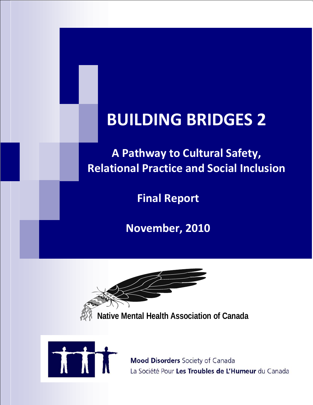# **BUILDING BRIDGES 2**

**A Pathway to Cultural Safety, Relational Practice and Social Inclusion**

**Final Report**

**November, 2010**

**Native Mental Health Association of Canada** 



**Mood Disorders** Society of Canada La Société Pour Les Troubles de L'Humeur du Canada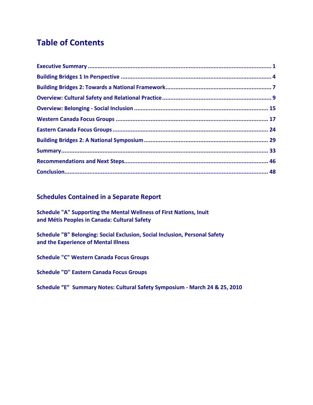# **Table of Contents**

### **Schedules Contained in a Separate Report**

**Schedule "A" Supporting the Mental Wellness of First Nations, Inuit and Métis Peoples in Canada: Cultural Safety** 

**Schedule "B" Belonging: Social Exclusion, Social Inclusion, Personal Safety and the Experience of Mental Illness** 

**Schedule "C" Western Canada Focus Groups**

**Schedule "D" Eastern Canada Focus Groups** 

**Schedule "E" Summary Notes: Cultural Safety Symposium - March 24 & 25, 2010**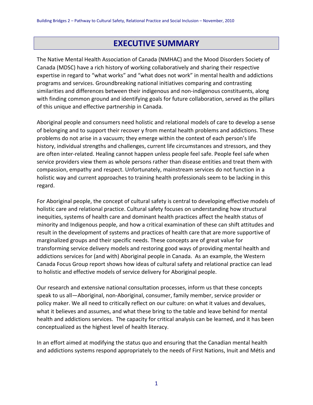# **EXECUTIVE SUMMARY**

The Native Mental Health Association of Canada (NMHAC) and the Mood Disorders Society of Canada (MDSC) have a rich history of working collaboratively and sharing their respective expertise in regard to "what works" and "what does not work" in mental health and addictions programs and services. Groundbreaking national initiatives comparing and contrasting similarities and differences between their indigenous and non-indigenous constituents, along with finding common ground and identifying goals for future collaboration, served as the pillars of this unique and effective partnership in Canada.

Aboriginal people and consumers need holistic and relational models of care to develop a sense of belonging and to support their recover y from mental health problems and addictions. These problems do not arise in a vacuum; they emerge within the context of each person's life history, individual strengths and challenges, current life circumstances and stressors, and they are often inter-related. Healing cannot happen unless people feel safe. People feel safe when service providers view them as whole persons rather than disease entities and treat them with compassion, empathy and respect. Unfortunately, mainstream services do not function in a holistic way and current approaches to training health professionals seem to be lacking in this regard.

For Aboriginal people, the concept of cultural safety is central to developing effective models of holistic care and relational practice. Cultural safety focuses on understanding how structural inequities, systems of health care and dominant health practices affect the health status of minority and Indigenous people, and how a critical examination of these can shift attitudes and result in the development of systems and practices of health care that are more supportive of marginalized groups and their specific needs. These concepts are of great value for transforming service delivery models and restoring good ways of providing mental health and addictions services for (and with) Aboriginal people in Canada. As an example, the Western Canada Focus Group report shows how ideas of cultural safety and relational practice can lead to holistic and effective models of service delivery for Aboriginal people.

Our research and extensive national consultation processes, inform us that these concepts speak to us all—Aboriginal, non-Aboriginal, consumer, family member, service provider or policy maker. We all need to critically reflect on our culture: on what it values and devalues, what it believes and assumes, and what these bring to the table and leave behind for mental health and addictions services. The capacity for critical analysis can be learned, and it has been conceptualized as the highest level of health literacy.

In an effort aimed at modifying the status quo and ensuring that the Canadian mental health and addictions systems respond appropriately to the needs of First Nations, Inuit and Métis and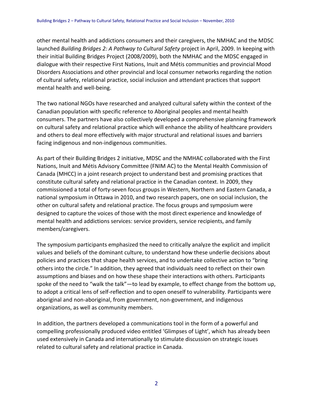other mental health and addictions consumers and their caregivers, the NMHAC and the MDSC launched *Building Bridges 2: A Pathway to Cultural Safety* project in April, 2009. In keeping with their initial Building Bridges Project (2008/2009), both the NMHAC and the MDSC engaged in dialogue with their respective First Nations, Inuit and Métis communities and provincial Mood Disorders Associations and other provincial and local consumer networks regarding the notion of cultural safety, relational practice, social inclusion and attendant practices that support mental health and well-being.

The two national NGOs have researched and analyzed cultural safety within the context of the Canadian population with specific reference to Aboriginal peoples and mental health consumers. The partners have also collectively developed a comprehensive planning framework on cultural safety and relational practice which will enhance the ability of healthcare providers and others to deal more effectively with major structural and relational issues and barriers facing indigenous and non-indigenous communities.

As part of their Building Bridges 2 initiative, MDSC and the NMHAC collaborated with the First Nations, Inuit and Métis Advisory Committee (FNIM AC) to the Mental Health Commission of Canada (MHCC) in a joint research project to understand best and promising practices that constitute cultural safety and relational practice in the Canadian context. In 2009, they commissioned a total of forty-seven focus groups in Western, Northern and Eastern Canada, a national symposium in Ottawa in 2010, and two research papers, one on social inclusion, the other on cultural safety and relational practice. The focus groups and symposium were designed to capture the voices of those with the most direct experience and knowledge of mental health and addictions services: service providers, service recipients, and family members/caregivers.

The symposium participants emphasized the need to critically analyze the explicit and implicit values and beliefs of the dominant culture, to understand how these underlie decisions about policies and practices that shape health services, and to undertake collective action to "bring others into the circle." In addition, they agreed that individuals need to reflect on their own assumptions and biases and on how these shape their interactions with others. Participants spoke of the need to "walk the talk"—to lead by example, to effect change from the bottom up, to adopt a critical lens of self-reflection and to open oneself to vulnerability. Participants were aboriginal and non-aboriginal, from government, non-government, and indigenous organizations, as well as community members.

In addition, the partners developed a communications tool in the form of a powerful and compelling professionally produced video entitled 'Glimpses of Light', which has already been used extensively in Canada and internationally to stimulate discussion on strategic issues related to cultural safety and relational practice in Canada.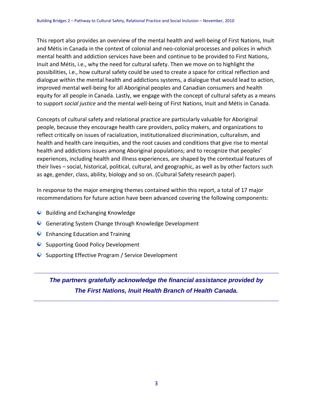This report also provides an overview of the mental health and well-being of First Nations, Inuit and Métis in Canada in the context of colonial and neo-colonial processes and polices in which mental health and addiction services have been and continue to be provided to First Nations, Inuit and Métis, i.e., why the need for cultural safety. Then we move on to highlight the possibilities, i.e., how cultural safety could be used to create a space for critical reflection and dialogue within the mental health and addictions systems, a dialogue that would lead to action, improved mental well-being for all Aboriginal peoples and Canadian consumers and health equity for all people in Canada. Lastly, we engage with the concept of cultural safety as a means to support *social justice* and the mental well-being of First Nations, Inuit and Métis in Canada.

Concepts of cultural safety and relational practice are particularly valuable for Aboriginal people, because they encourage health care providers, policy makers, and organizations to reflect critically on issues of racialization, institutionalized discrimination, culturalism, and health and health care inequities, and the root causes and conditions that give rise to mental health and addictions issues among Aboriginal populations; and to recognize that peoples' experiences, including health and illness experiences, are shaped by the contextual features of their lives – social, historical, political, cultural, and geographic, as well as by other factors such as age, gender, class, ability, biology and so on. (Cultural Safety research paper).

In response to the major emerging themes contained within this report, a total of 17 major recommendations for future action have been advanced covering the following components:

- **Q** Building and Exchanging Knowledge
- Generating System Change through Knowledge Development
- **Q** Enhancing Education and Training
- **Q** Supporting Good Policy Development
- Supporting Effective Program / Service Development

*The partners gratefully acknowledge the financial assistance provided by The First Nations, Inuit Health Branch of Health Canada.*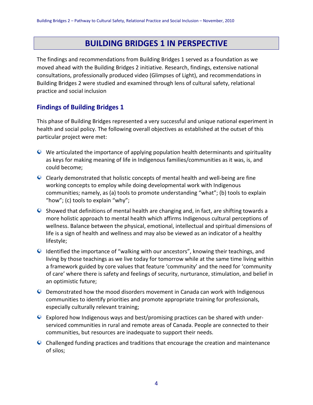# **BUILDING BRIDGES 1 IN PERSPECTIVE**

The findings and recommendations from Building Bridges 1 served as a foundation as we moved ahead with the Building Bridges 2 initiative. Research, findings, extensive national consultations, professionally produced video (Glimpses of Light), and recommendations in Building Bridges 2 were studied and examined through lens of cultural safety, relational practice and social inclusion

# **Findings of Building Bridges 1**

This phase of Building Bridges represented a very successful and unique national experiment in health and social policy. The following overall objectives as established at the outset of this particular project were met:

- We articulated the importance of applying population health determinants and spirituality as keys for making meaning of life in Indigenous families/communities as it was, is, and could become;
- $\bullet$  Clearly demonstrated that holistic concepts of mental health and well-being are fine working concepts to employ while doing developmental work with Indigenous communities; namely, as (a) tools to promote understanding "what"; (b) tools to explain "how"; (c) tools to explain "why";
- Showed that definitions of mental health are changing and, in fact, are shifting towards a more holistic approach to mental health which affirms Indigenous cultural perceptions of wellness. Balance between the physical, emotional, intellectual and spiritual dimensions of life is a sign of health and wellness and may also be viewed as an indicator of a healthy lifestyle;
- Identified the importance of "walking with our ancestors", knowing their teachings, and living by those teachings as we live today for tomorrow while at the same time living within a framework guided by core values that feature 'community' and the need for 'community of care' where there is safety and feelings of security, nurturance, stimulation, and belief in an optimistic future;
- Demonstrated how the mood disorders movement in Canada can work with Indigenous communities to identify priorities and promote appropriate training for professionals, especially culturally relevant training;
- Explored how Indigenous ways and best/promising practices can be shared with underserviced communities in rural and remote areas of Canada. People are connected to their communities, but resources are inadequate to support their needs.
- Challenged funding practices and traditions that encourage the creation and maintenance of silos;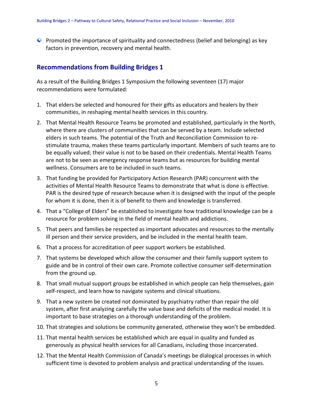$\bullet$  Promoted the importance of spirituality and connectedness (belief and belonging) as key factors in prevention, recovery and mental health.

### **Recommendations from Building Bridges 1**

As a result of the Building Bridges 1 Symposium the following seventeen (17) major recommendations were formulated:

- 1. That elders be selected and honoured for their gifts as educators and healers by their communities, in reshaping mental health services in this country.
- 2. That Mental Health Resource Teams be promoted and established, particularly in the North, where there are clusters of communities that can be served by a team. Include selected elders in such teams. The potential of the Truth and Reconciliation Commission to restimulate trauma, makes these teams particularly important. Members of such teams are to be equally valued; their value is not to be based on their credentials. Mental Health Teams are not to be seen as emergency response teams but as resources for building mental wellness. Consumers are to be included in such teams.
- 3. That funding be provided for Participatory Action Research (PAR) concurrent with the activities of Mental Health Resource Teams to demonstrate that what is done is effective. PAR is the desired type of research because when it is designed with the input of the people for whom it is done, then it is of benefit to them and knowledge is transferred.
- 4. That a "College of Elders" be established to investigate how traditional knowledge can be a resource for problem solving in the field of mental health and addictions.
- 5. That peers and families be respected as important advocates and resources to the mentally ill person and their service providers, and be included in the mental health team.
- 6. That a process for accreditation of peer support workers be established.
- 7. That systems be developed which allow the consumer and their family support system to guide and be in control of their own care. Promote collective consumer self-determination from the ground up.
- 8. That small mutual support groups be established in which people can help themselves, gain self-respect, and learn how to navigate systems and clinical situations.
- 9. That a new system be created not dominated by psychiatry rather than repair the old system, after first analyzing carefully the value base and deficits of the medical model. It is important to base strategies on a thorough understanding of the problem.
- 10. That strategies and solutions be community generated, otherwise they won't be embedded.
- 11. That mental health services be established which are equal in quality and funded as generously as physical health services for all Canadians, including those incarcerated.
- 12. That the Mental Health Commission of Canada's meetings be dialogical processes in which sufficient time is devoted to problem analysis and practical understanding of the issues.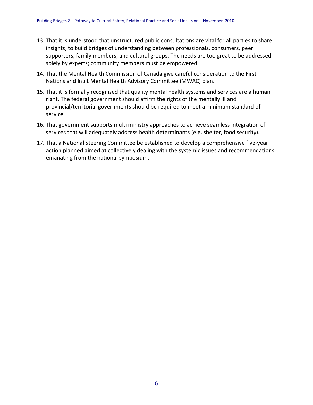- 13. That it is understood that unstructured public consultations are vital for all parties to share insights, to build bridges of understanding between professionals, consumers, peer supporters, family members, and cultural groups. The needs are too great to be addressed solely by experts; community members must be empowered.
- 14. That the Mental Health Commission of Canada give careful consideration to the First Nations and Inuit Mental Health Advisory Committee (MWAC) plan.
- 15. That it is formally recognized that quality mental health systems and services are a human right. The federal government should affirm the rights of the mentally ill and provincial/territorial governments should be required to meet a minimum standard of service.
- 16. That government supports multi ministry approaches to achieve seamless integration of services that will adequately address health determinants (e.g. shelter, food security).
- 17. That a National Steering Committee be established to develop a comprehensive five-year action planned aimed at collectively dealing with the systemic issues and recommendations emanating from the national symposium.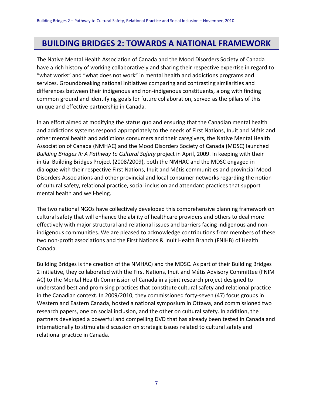# **BUILDING BRIDGES 2: TOWARDS A NATIONAL FRAMEWORK**

The Native Mental Health Association of Canada and the Mood Disorders Society of Canada have a rich history of working collaboratively and sharing their respective expertise in regard to "what works" and "what does not work" in mental health and addictions programs and services. Groundbreaking national initiatives comparing and contrasting similarities and differences between their indigenous and non-indigenous constituents, along with finding common ground and identifying goals for future collaboration, served as the pillars of this unique and effective partnership in Canada.

In an effort aimed at modifying the status quo and ensuring that the Canadian mental health and addictions systems respond appropriately to the needs of First Nations, Inuit and Métis and other mental health and addictions consumers and their caregivers, the Native Mental Health Association of Canada (NMHAC) and the Mood Disorders Society of Canada (MDSC) launched *Building Bridges II: A Pathway to Cultural Safety* project in April, 2009. In keeping with their initial Building Bridges Project (2008/2009), both the NMHAC and the MDSC engaged in dialogue with their respective First Nations, Inuit and Métis communities and provincial Mood Disorders Associations and other provincial and local consumer networks regarding the notion of cultural safety, relational practice, social inclusion and attendant practices that support mental health and well-being.

The two national NGOs have collectively developed this comprehensive planning framework on cultural safety that will enhance the ability of healthcare providers and others to deal more effectively with major structural and relational issues and barriers facing indigenous and nonindigenous communities. We are pleased to acknowledge contributions from members of these two non-profit associations and the First Nations & Inuit Health Branch (FNIHB) of Health Canada.

Building Bridges is the creation of the NMHAC) and the MDSC. As part of their Building Bridges 2 initiative, they collaborated with the First Nations, Inuit and Métis Advisory Committee (FNIM AC) to the Mental Health Commission of Canada in a joint research project designed to understand best and promising practices that constitute cultural safety and relational practice in the Canadian context. In 2009/2010, they commissioned forty-seven (47) focus groups in Western and Eastern Canada, hosted a national symposium in Ottawa, and commissioned two research papers, one on social inclusion, and the other on cultural safety. In addition, the partners developed a powerful and compelling DVD that has already been tested in Canada and internationally to stimulate discussion on strategic issues related to cultural safety and relational practice in Canada.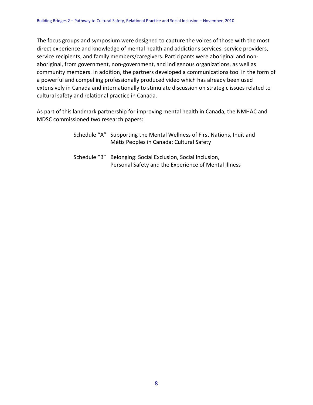The focus groups and symposium were designed to capture the voices of those with the most direct experience and knowledge of mental health and addictions services: service providers, service recipients, and family members/caregivers. Participants were aboriginal and nonaboriginal, from government, non-government, and indigenous organizations, as well as community members. In addition, the partners developed a communications tool in the form of a powerful and compelling professionally produced video which has already been used extensively in Canada and internationally to stimulate discussion on strategic issues related to cultural safety and relational practice in Canada.

As part of this landmark partnership for improving mental health in Canada, the NMHAC and MDSC commissioned two research papers:

|              | Schedule "A" Supporting the Mental Wellness of First Nations, Inuit and<br>Métis Peoples in Canada: Cultural Safety |
|--------------|---------------------------------------------------------------------------------------------------------------------|
| Schedule "B" | Belonging: Social Exclusion, Social Inclusion,<br>Personal Safety and the Experience of Mental Illness              |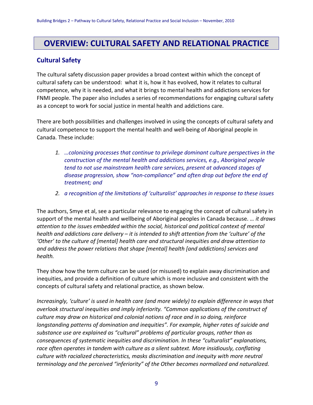# **OVERVIEW: CULTURAL SAFETY AND RELATIONAL PRACTICE**

## **Cultural Safety**

The cultural safety discussion paper provides a broad context within which the concept of cultural safety can be understood: what it is, how it has evolved, how it relates to cultural competence, why it is needed, and what it brings to mental health and addictions services for FNMI people. The paper also includes a series of recommendations for engaging cultural safety as a concept to work for social justice in mental health and addictions care.

There are both possibilities and challenges involved in using the concepts of cultural safety and cultural competence to support the mental health and well-being of Aboriginal people in Canada. These include:

- *1. …colonizing processes that continue to privilege dominant culture perspectives in the construction of the mental health and addictions services, e.g., Aboriginal people tend to not use mainstream health care services, present at advanced stages of disease progression, show "non-compliance" and often drop out before the end of treatment; and*
- *2. a recognition of the limitations of 'culturalist' approaches in response to these issues*

The authors, Smye et al, see a particular relevance to engaging the concept of cultural safety in support of the mental health and wellbeing of Aboriginal peoples in Canada because. *… it draws attention to the issues embedded within the social, historical and political context of mental health and addictions care delivery – it is intended to shift attention from the 'culture' of the 'Other' to the culture of [mental] health care and structural inequities and draw attention to and address the power relations that shape [mental] health [and addictions] services and health.*

They show how the term culture can be used (or misused) to explain away discrimination and inequities, and provide a definition of culture which is more inclusive and consistent with the concepts of cultural safety and relational practice, as shown below.

*Increasingly, 'culture' is used in health care (and more widely) to explain difference in ways that overlook structural inequities and imply inferiority. "Common applications of the construct of culture may draw on historical and colonial notions of race and in so doing, reinforce longstanding patterns of domination and inequities". For example, higher rates of suicide and substance use are explained as "cultural" problems of particular groups, rather than as consequences of systematic inequities and discrimination. In these "culturalist" explanations, race often operates in tandem with culture as a silent subtext. More insidiously, conflating culture with racialized characteristics, masks discrimination and inequity with more neutral terminology and the perceived "inferiority" of the Other becomes normalized and naturalized.*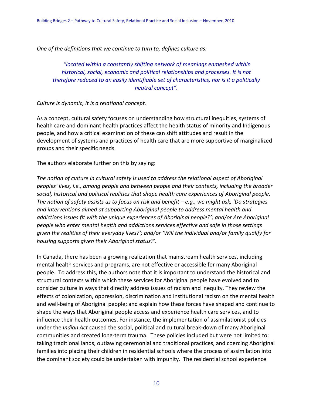*One of the definitions that we continue to turn to, defines culture as:*

*"located within a constantly shifting network of meanings enmeshed within historical, social, economic and political relationships and processes. It is not therefore reduced to an easily identifiable set of characteristics, nor is it a politically neutral concept".*

#### *Culture is dynamic, it is a relational concept.*

As a concept, cultural safety focuses on understanding how structural inequities, systems of health care and dominant health practices affect the health status of minority and Indigenous people, and how a critical examination of these can shift attitudes and result in the development of systems and practices of health care that are more supportive of marginalized groups and their specific needs.

The authors elaborate further on this by saying:

*The notion of culture in cultural safety is used to address the relational aspect of Aboriginal peoples' lives, i.e., among people and between people and their contexts, including the broader social, historical and political realities that shape health care experiences of Aboriginal people. The notion of safety assists us to focus on risk and benefit – e.g., we might ask, 'Do strategies and interventions aimed at supporting Aboriginal people to address mental health and addictions issues fit with the unique experiences of Aboriginal people?'; and/or Are Aboriginal people who enter mental health and addictions services effective and safe in those settings given the realities of their everyday lives?'; and/or 'Will the individual and/or family qualify for housing supports given their Aboriginal status?'.*

In Canada, there has been a growing realization that mainstream health services, including mental health services and programs, are not effective or accessible for many Aboriginal people. To address this, the authors note that it is important to understand the historical and structural contexts within which these services for Aboriginal people have evolved and to consider culture in ways that directly address issues of racism and inequity. They review the effects of colonization, oppression, discrimination and institutional racism on the mental health and well-being of Aboriginal people; and explain how these forces have shaped and continue to shape the ways that Aboriginal people access and experience health care services, and to influence their health outcomes. For instance, the implementation of assimilationist policies under the *Indian Act* caused the social, political and cultural break-down of many Aboriginal communities and created long-term trauma. These policies included but were not limited to: taking traditional lands, outlawing ceremonial and traditional practices, and coercing Aboriginal families into placing their children in residential schools where the process of assimilation into the dominant society could be undertaken with impunity. The residential school experience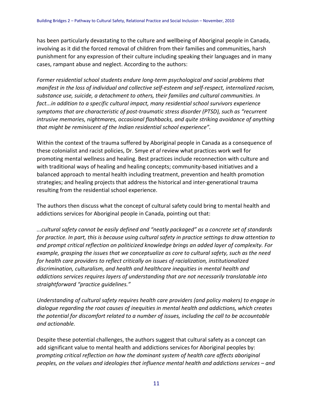has been particularly devastating to the culture and wellbeing of Aboriginal people in Canada, involving as it did the forced removal of children from their families and communities, harsh punishment for any expression of their culture including speaking their languages and in many cases, rampant abuse and neglect. According to the authors:

*Former residential school students endure long-term psychological and social problems that manifest in the loss of individual and collective self-esteem and self-respect, internalized racism, substance use, suicide, a detachment to others, their families and cultural communities. In fact...in addition to a specific cultural impact, many residential school survivors experience symptoms that are characteristic of post-traumatic stress disorder (PTSD), such as "recurrent intrusive memories, nightmares, occasional flashbacks, and quite striking avoidance of anything that might be reminiscent of the Indian residential school experience".*

Within the context of the trauma suffered by Aboriginal people in Canada as a consequence of these colonialist and racist policies, Dr. Smye *et al* review what practices work well for promoting mental wellness and healing. Best practices include reconnection with culture and with traditional ways of healing and healing concepts; community-based initiatives and a balanced approach to mental health including treatment, prevention and health promotion strategies; and healing projects that address the historical and inter-generational trauma resulting from the residential school experience.

The authors then discuss what the concept of cultural safety could bring to mental health and addictions services for Aboriginal people in Canada, pointing out that:

*...cultural safety cannot be easily defined and "neatly packaged" as a concrete set of standards for practice. In part, this is because using cultural safety in practice settings to draw attention to and prompt critical reflection on politicized knowledge brings an added layer of complexity. For example, grasping the issues that we conceptualize as core to cultural safety, such as the need for health care providers to reflect critically on issues of racialization, institutionalized discrimination, culturalism, and health and healthcare inequities in mental health and addictions services requires layers of understanding that are not necessarily translatable into straightforward "practice guidelines."* 

*Understanding of cultural safety requires health care providers (and policy makers) to engage in dialogue regarding the root causes of inequities in mental health and addictions, which creates the potential for discomfort related to a number of issues, including the call to be accountable and actionable.* 

Despite these potential challenges, the authors suggest that cultural safety as a concept can add significant value to mental health and addictions services for Aboriginal peoples by: *prompting critical reflection on how the dominant system of health care affects aboriginal peoples, on the values and ideologies that influence mental health and addictions services – and*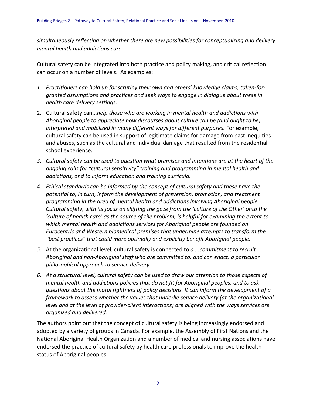*simultaneously reflecting on whether there are new possibilities for conceptualizing and delivery mental health and addictions care.* 

Cultural safety can be integrated into both practice and policy making, and critical reflection can occur on a number of levels. As examples:

- *1. Practitioners can hold up for scrutiny their own and others' knowledge claims, taken-forgranted assumptions and practices and seek ways to engage in dialogue about these in health care delivery settings.*
- 2. Cultural safety can...*help those who are working in mental health and addictions with Aboriginal people to appreciate how discourses about culture can be (and ought to be) interpreted and mobilized in many different ways for different purposes.* For example, cultural safety can be used in support of legitimate claims for damage from past inequities and abuses, such as the cultural and individual damage that resulted from the residential school experience.
- *3. Cultural safety can be used to question what premises and intentions are at the heart of the ongoing calls for "cultural sensitivity" training and programming in mental health and addictions, and to inform education and training curricula.*
- *4. Ethical standards can be informed by the concept of cultural safety and these have the potential to, in turn, inform the development of prevention, promotion, and treatment programming in the area of mental health and addictions involving Aboriginal people. Cultural safety, with its focus on shifting the gaze from the 'culture of the Other' onto the 'culture of health care' as the source of the problem, is helpful for examining the extent to which mental health and addictions services for Aboriginal people are founded on Eurocentric and Western biomedical premises that undermine attempts to transform the "best practices" that could more optimally and explicitly benefit Aboriginal people.*
- *5.* At the organizational level, cultural safety is connected to *a ...commitment to recruit Aboriginal and non-Aboriginal staff who are committed to, and can enact, a particular philosophical approach to service delivery.*
- *6. At a structural level, cultural safety can be used to draw our attention to those aspects of mental health and addictions policies that do not fit for Aboriginal peoples, and to ask questions about the moral rightness of policy decisions. It can inform the development of a framework to assess whether the values that underlie service delivery (at the organizational level and at the level of provider-client interactions) are aligned with the ways services are organized and delivered.*

The authors point out that the concept of cultural safety is being increasingly endorsed and adopted by a variety of groups in Canada. For example, the Assembly of First Nations and the National Aboriginal Health Organization and a number of medical and nursing associations have endorsed the practice of cultural safety by health care professionals to improve the health status of Aboriginal peoples.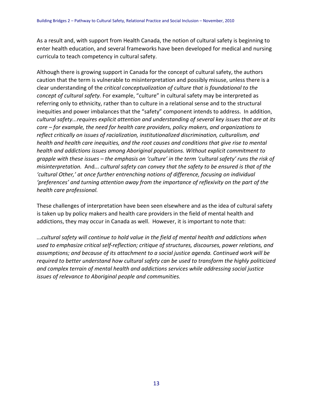As a result and, with support from Health Canada, the notion of cultural safety is beginning to enter health education, and several frameworks have been developed for medical and nursing curricula to teach competency in cultural safety.

Although there is growing support in Canada for the concept of cultural safety, the authors caution that the term is vulnerable to misinterpretation and possibly misuse, unless there is a clear understanding of the *critical conceptualization of culture that is foundational to the concept of cultural safety.* For example, "culture" in cultural safety may be interpreted as referring only to ethnicity, rather than to culture in a relational sense and to the structural inequities and power imbalances that the "safety" component intends to address. In addition, *cultural safety...requires explicit attention and understanding of several key issues that are at its core – for example, the need for health care providers, policy makers, and organizations to reflect critically on issues of racialization, institutionalized discrimination, culturalism, and health and health care inequities, and the root causes and conditions that give rise to mental health and addictions issues among Aboriginal populations. Without explicit commitment to grapple with these issues – the emphasis on 'culture' in the term 'cultural safety' runs the risk of misinterpretation.* And*... cultural safety can convey that the safety to be ensured is that of the 'cultural Other,' at once further entrenching notions of difference, focusing on individual 'preferences' and turning attention away from the importance of reflexivity on the part of the health care professional.* 

These challenges of interpretation have been seen elsewhere and as the idea of cultural safety is taken up by policy makers and health care providers in the field of mental health and addictions, they may occur in Canada as well. However, it is important to note that:

*...cultural safety will continue to hold value in the field of mental health and addictions when used to emphasize critical self-reflection; critique of structures, discourses, power relations, and assumptions; and because of its attachment to a social justice agenda. Continued work will be required to better understand how cultural safety can be used to transform the highly politicized and complex terrain of mental health and addictions services while addressing social justice issues of relevance to Aboriginal people and communities.*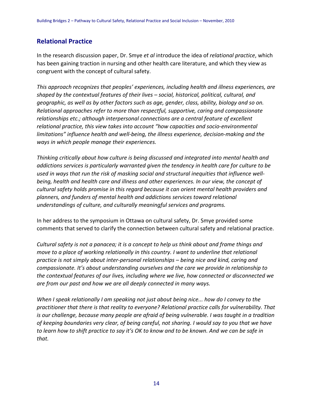### **Relational Practice**

In the research discussion paper, Dr. Smye *et al* introduce the idea of *relational practice*, which has been gaining traction in nursing and other health care literature, and which they view as congruent with the concept of cultural safety.

*This approach recognizes that peoples' experiences, including health and illness experiences, are shaped by the contextual features of their lives – social, historical, political, cultural, and geographic, as well as by other factors such as age, gender, class, ability, biology and so on. Relational approaches refer to more than respectful, supportive, caring and compassionate relationships etc.; although interpersonal connections are a central feature of excellent relational practice, this view takes into account "how capacities and socio-environmental limitations" influence health and well-being, the illness experience, decision-making and the ways in which people manage their experiences.*

*Thinking critically about how culture is being discussed and integrated into mental health and addictions services is particularly warranted given the tendency in health care for culture to be used in ways that run the risk of masking social and structural inequities that influence wellbeing, health and health care and illness and other experiences. In our view, the concept of cultural safety holds promise in this regard because it can orient mental health providers and planners, and funders of mental health and addictions services toward relational understandings of culture, and culturally meaningful services and programs.* 

In her address to the symposium in Ottawa on cultural safety, Dr. Smye provided some comments that served to clarify the connection between cultural safety and relational practice.

*Cultural safety is not a panacea; it is a concept to help us think about and frame things and move to a place of working relationally in this country. I want to underline that relational practice is not simply about inter-personal relationships – being nice and kind, caring and compassionate. It's about understanding ourselves and the care we provide in relationship to the contextual features of our lives, including where we live, how connected or disconnected we are from our past and how we are all deeply connected in many ways.*

*When I speak relationally I am speaking not just about being nice... how do I convey to the practitioner that there is that reality to everyone? Relational practice calls for vulnerability. That is our challenge, because many people are afraid of being vulnerable. I was taught in a tradition of keeping boundaries very clear, of being careful, not sharing. I would say to you that we have to learn how to shift practice to say it's OK to know and to be known. And we can be safe in that.*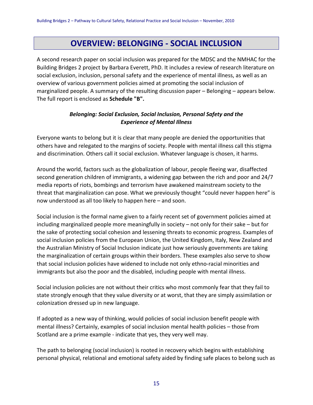# **OVERVIEW: BELONGING - SOCIAL INCLUSION**

A second research paper on social inclusion was prepared for the MDSC and the NMHAC for the Building Bridges 2 project by Barbara Everett, PhD. It includes a review of research literature on social exclusion, inclusion, personal safety and the experience of mental illness, as well as an overview of various government policies aimed at promoting the social inclusion of marginalized people. A summary of the resulting discussion paper – Belonging – appears below. The full report is enclosed as **Schedule "B".**

### *Belonging: Social Exclusion, Social Inclusion, Personal Safety and the Experience of Mental Illness*

Everyone wants to belong but it is clear that many people are denied the opportunities that others have and relegated to the margins of society. People with mental illness call this stigma and discrimination. Others call it social exclusion. Whatever language is chosen, it harms.

Around the world, factors such as the globalization of labour, people fleeing war, disaffected second generation children of immigrants, a widening gap between the rich and poor and 24/7 media reports of riots, bombings and terrorism have awakened mainstream society to the threat that marginalization can pose. What we previously thought "could never happen here" is now understood as all too likely to happen here – and soon.

Social inclusion is the formal name given to a fairly recent set of government policies aimed at including marginalized people more meaningfully in society – not only for their sake – but for the sake of protecting social cohesion and lessening threats to economic progress. Examples of social inclusion policies from the European Union, the United Kingdom, Italy, New Zealand and the Australian Ministry of Social Inclusion indicate just how seriously governments are taking the marginalization of certain groups within their borders. These examples also serve to show that social inclusion policies have widened to include not only ethno-racial minorities and immigrants but also the poor and the disabled, including people with mental illness.

Social inclusion policies are not without their critics who most commonly fear that they fail to state strongly enough that they value diversity or at worst, that they are simply assimilation or colonization dressed up in new language.

If adopted as a new way of thinking, would policies of social inclusion benefit people with mental illness? Certainly, examples of social inclusion mental health policies – those from Scotland are a prime example - indicate that yes, they very well may.

The path to belonging (social inclusion) is rooted in recovery which begins with establishing personal physical, relational and emotional safety aided by finding safe places to belong such as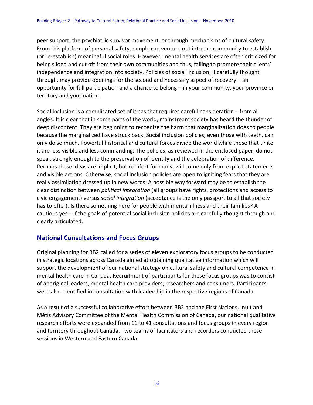peer support, the psychiatric survivor movement, or through mechanisms of cultural safety. From this platform of personal safety, people can venture out into the community to establish (or re-establish) meaningful social roles. However, mental health services are often criticized for being siloed and cut off from their own communities and thus, failing to promote their clients' independence and integration into society. Policies of social inclusion, if carefully thought through, may provide openings for the second and necessary aspect of recovery – an opportunity for full participation and a chance to belong – in your community, your province or territory and your nation.

Social inclusion is a complicated set of ideas that requires careful consideration – from all angles. It is clear that in some parts of the world, mainstream society has heard the thunder of deep discontent. They are beginning to recognize the harm that marginalization does to people because the marginalized have struck back. Social inclusion policies, even those with teeth, can only do so much. Powerful historical and cultural forces divide the world while those that unite it are less visible and less commanding. The policies, as reviewed in the enclosed paper, do not speak strongly enough to the preservation of identity and the celebration of difference. Perhaps these ideas are implicit, but comfort for many, will come only from explicit statements and visible actions. Otherwise, social inclusion policies are open to igniting fears that they are really assimilation dressed up in new words. A possible way forward may be to establish the clear distinction between *political integration* (all groups have rights, protections and access to civic engagement) versus *social integration* (acceptance is the only passport to all that society has to offer). Is there something here for people with mental illness and their families? A cautious yes – if the goals of potential social inclusion policies are carefully thought through and clearly articulated.

### **National Consultations and Focus Groups**

Original planning for BB2 called for a series of eleven exploratory focus groups to be conducted in strategic locations across Canada aimed at obtaining qualitative information which will support the development of our national strategy on cultural safety and cultural competence in mental health care in Canada. Recruitment of participants for these focus groups was to consist of aboriginal leaders, mental health care providers, researchers and consumers. Participants were also identified in consultation with leadership in the respective regions of Canada.

As a result of a successful collaborative effort between BB2 and the First Nations, Inuit and Métis Advisory Committee of the Mental Health Commission of Canada, our national qualitative research efforts were expanded from 11 to 41 consultations and focus groups in every region and territory throughout Canada. Two teams of facilitators and recorders conducted these sessions in Western and Eastern Canada.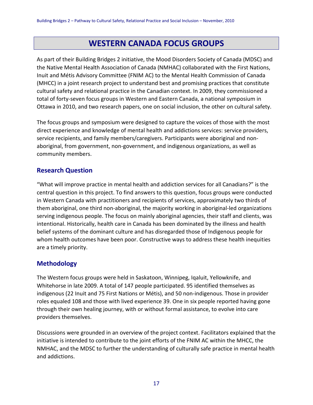# **WESTERN CANADA FOCUS GROUPS**

As part of their Building Bridges 2 initiative, the Mood Disorders Society of Canada (MDSC) and the Native Mental Health Association of Canada (NMHAC) collaborated with the First Nations, Inuit and Métis Advisory Committee (FNIM AC) to the Mental Health Commission of Canada (MHCC) in a joint research project to understand best and promising practices that constitute cultural safety and relational practice in the Canadian context. In 2009, they commissioned a total of forty-seven focus groups in Western and Eastern Canada, a national symposium in Ottawa in 2010, and two research papers, one on social inclusion, the other on cultural safety.

The focus groups and symposium were designed to capture the voices of those with the most direct experience and knowledge of mental health and addictions services: service providers, service recipients, and family members/caregivers. Participants were aboriginal and nonaboriginal, from government, non-government, and indigenous organizations, as well as community members.

### **Research Question**

"What will improve practice in mental health and addiction services for all Canadians?" is the central question in this project. To find answers to this question, focus groups were conducted in Western Canada with practitioners and recipients of services, approximately two thirds of them aboriginal, one third non-aboriginal, the majority working in aboriginal-led organizations serving indigenous people. The focus on mainly aboriginal agencies, their staff and clients, was intentional. Historically, health care in Canada has been dominated by the illness and health belief systems of the dominant culture and has disregarded those of Indigenous people for whom health outcomes have been poor. Constructive ways to address these health inequities are a timely priority.

### **Methodology**

The Western focus groups were held in Saskatoon, Winnipeg, Iqaluit, Yellowknife, and Whitehorse in late 2009. A total of 147 people participated. 95 identified themselves as indigenous (22 Inuit and 75 First Nations or Métis), and 50 non-indigenous. Those in provider roles equaled 108 and those with lived experience 39. One in six people reported having gone through their own healing journey, with or without formal assistance, to evolve into care providers themselves.

Discussions were grounded in an overview of the project context. Facilitators explained that the initiative is intended to contribute to the joint efforts of the FNIM AC within the MHCC, the NMHAC, and the MDSC to further the understanding of culturally safe practice in mental health and addictions.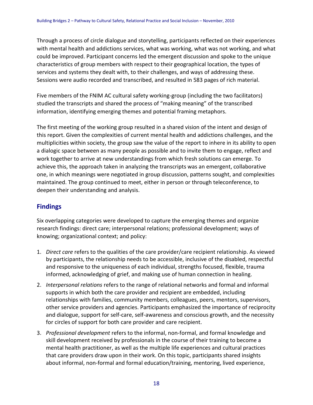Through a process of circle dialogue and storytelling, participants reflected on their experiences with mental health and addictions services, what was working, what was not working, and what could be improved. Participant concerns led the emergent discussion and spoke to the unique characteristics of group members with respect to their geographical location, the types of services and systems they dealt with, to their challenges, and ways of addressing these. Sessions were audio recorded and transcribed, and resulted in 583 pages of rich material.

Five members of the FNIM AC cultural safety working-group (including the two facilitators) studied the transcripts and shared the process of "making meaning" of the transcribed information, identifying emerging themes and potential framing metaphors.

The first meeting of the working group resulted in a shared vision of the intent and design of this report. Given the complexities of current mental health and addictions challenges, and the multiplicities within society, the group saw the value of the report to inhere in its ability to open a dialogic space between as many people as possible and to invite them to engage, reflect and work together to arrive at new understandings from which fresh solutions can emerge. To achieve this, the approach taken in analyzing the transcripts was an emergent, collaborative one, in which meanings were negotiated in group discussion, patterns sought, and complexities maintained. The group continued to meet, either in person or through teleconference, to deepen their understanding and analysis.

## **Findings**

Six overlapping categories were developed to capture the emerging themes and organize research findings: direct care; interpersonal relations; professional development; ways of knowing; organizational context; and policy:

- 1. *Direct care* refers to the qualities of the care provider/care recipient relationship. As viewed by participants, the relationship needs to be accessible, inclusive of the disabled, respectful and responsive to the uniqueness of each individual, strengths focused, flexible, trauma informed, acknowledging of grief, and making use of human connection in healing.
- 2. *Interpersonal relations* refers to the range of relational networks and formal and informal supports in which both the care provider and recipient are embedded, including relationships with families, community members, colleagues, peers, mentors, supervisors, other service providers and agencies. Participants emphasized the importance of reciprocity and dialogue, support for self-care, self-awareness and conscious growth, and the necessity for circles of support for both care provider and care recipient.
- 3. *Professional development* refers to the informal, non-formal, and formal knowledge and skill development received by professionals in the course of their training to become a mental health practitioner, as well as the multiple life experiences and cultural practices that care providers draw upon in their work. On this topic, participants shared insights about informal, non-formal and formal education/training, mentoring, lived experience,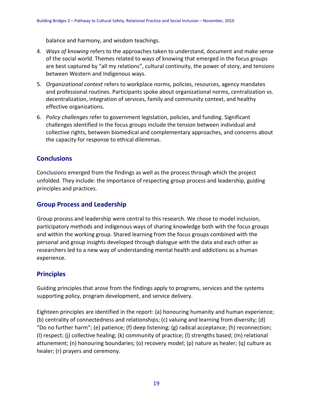balance and harmony, and wisdom teachings.

- 4. *Ways of knowing* refers to the approaches taken to understand, document and make sense of the social world. Themes related to ways of knowing that emerged in the focus groups are best captured by "all my relations", cultural continuity, the power of story, and tensions between Western and Indigenous ways.
- 5. *Organizational context* refers to workplace norms, policies, resources, agency mandates and professional routines. Participants spoke about organizational norms, centralization vs. decentralization, integration of services, family and community context, and healthy effective organizations.
- 6. *Policy challenges* refer to government legislation, policies, and funding. Significant challenges identified in the focus groups include the tension between individual and collective rights, between biomedical and complementary approaches, and concerns about the capacity for response to ethical dilemmas.

### **Conclusions**

Conclusions emerged from the findings as well as the process through which the project unfolded. They include: the importance of respecting group process and leadership, guiding principles and practices.

## **Group Process and Leadership**

Group process and leadership were central to this research. We chose to model inclusion, participatory methods and indigenous ways of sharing knowledge both with the focus groups and within the working group. Shared learning from the focus groups combined with the personal and group insights developed through dialogue with the data and each other as researchers led to a new way of understanding mental health and addictions as a human experience.

### **Principles**

Guiding principles that arose from the findings apply to programs, services and the systems supporting policy, program development, and service delivery.

Eighteen principles are identified in the report: (a) honouring humanity and human experience; (b) centrality of connectedness and relationships; (c) valuing and learning from diversity; (d) "Do no further harm"; (e) patience; (f) deep listening; (g) radical acceptance; (h) reconnection; (I) respect; (j) collective healing; (k) community of practice; (l) strengths based; (m) relational attunement; (n) honouring boundaries; (o) recovery model; (p) nature as healer; (q) culture as healer; (r) prayers and ceremony.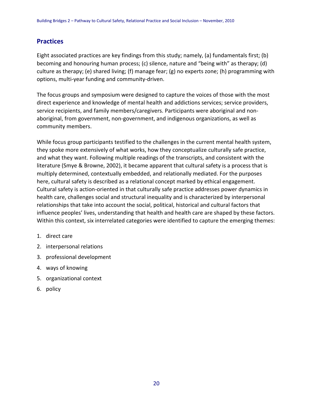### **Practices**

Eight associated practices are key findings from this study; namely, (a) fundamentals first; (b) becoming and honouring human process; (c) silence, nature and "being with" as therapy; (d) culture as therapy; (e) shared living; (f) manage fear; (g) no experts zone; (h) programming with options, multi-year funding and community-driven.

The focus groups and symposium were designed to capture the voices of those with the most direct experience and knowledge of mental health and addictions services; service providers, service recipients, and family members/caregivers. Participants were aboriginal and nonaboriginal, from government, non-government, and indigenous organizations, as well as community members.

While focus group participants testified to the challenges in the current mental health system, they spoke more extensively of what works, how they conceptualize culturally safe practice, and what they want. Following multiple readings of the transcripts, and consistent with the literature (Smye & Browne, 2002), it became apparent that cultural safety is a process that is multiply determined, contextually embedded, and relationally mediated. For the purposes here, cultural safety is described as a relational concept marked by ethical engagement. Cultural safety is action-oriented in that culturally safe practice addresses power dynamics in health care, challenges social and structural inequality and is characterized by interpersonal relationships that take into account the social, political, historical and cultural factors that influence peoples' lives, understanding that health and health care are shaped by these factors. Within this context, six interrelated categories were identified to capture the emerging themes:

- 1. direct care
- 2. interpersonal relations
- 3. professional development
- 4. ways of knowing
- 5. organizational context
- 6. policy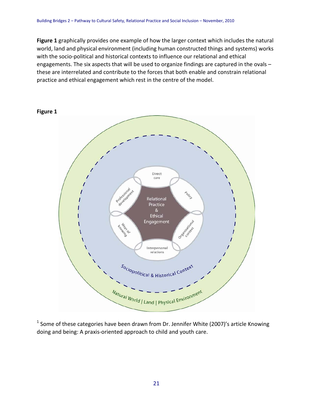**Figure 1** graphically provides one example of how the larger context which includes the natural world, land and physical environment (including human constructed things and systems) works with the socio-political and historical contexts to influence our relational and ethical engagements. The six aspects that will be used to organize findings are captured in the ovals – these are interrelated and contribute to the forces that both enable and constrain relational practice and ethical engagement which rest in the centre of the model.



 $1$  Some of these categories have been drawn from Dr. Jennifer White (2007)'s article Knowing doing and being: A praxis-oriented approach to child and youth care.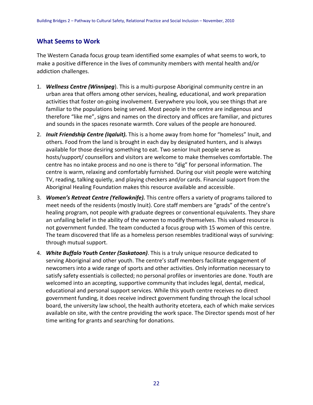### **What Seems to Work**

The Western Canada focus group team identified some examples of what seems to work, to make a positive difference in the lives of community members with mental health and/or addiction challenges.

- 1. *Wellness Centre (Winnipeg*). This is a multi-purpose Aboriginal community centre in an urban area that offers among other services, healing, educational, and work preparation activities that foster on-going involvement. Everywhere you look, you see things that are familiar to the populations being served. Most people in the centre are indigenous and therefore "like me", signs and names on the directory and offices are familiar, and pictures and sounds in the spaces resonate warmth. Core values of the people are honoured.
- 2. *Inuit Friendship Centre (Iqaluit).* This is a home away from home for "homeless" Inuit, and others. Food from the land is brought in each day by designated hunters, and is always available for those desiring something to eat. Two senior Inuit people serve as hosts/support/ counsellors and visitors are welcome to make themselves comfortable. The centre has no intake process and no one is there to "dig" for personal information. The centre is warm, relaxing and comfortably furnished. During our visit people were watching TV, reading, talking quietly, and playing checkers and/or cards. Financial support from the Aboriginal Healing Foundation makes this resource available and accessible.
- 3. *Women's Retreat Centre (Yellowknife).* This centre offers a variety of programs tailored to meet needs of the residents (mostly Inuit). Core staff members are "grads" of the centre's healing program, not people with graduate degrees or conventional equivalents. They share an unfailing belief in the ability of the women to modify themselves. This valued resource is not government funded. The team conducted a focus group with 15 women of this centre. The team discovered that life as a homeless person resembles traditional ways of surviving: through mutual support.
- 4. *White Buffalo Youth Center (Saskatoon)*. This is a truly unique resource dedicated to serving Aboriginal and other youth. The centre's staff members facilitate engagement of newcomers into a wide range of sports and other activities. Only information necessary to satisfy safety essentials is collected; no personal profiles or inventories are done. Youth are welcomed into an accepting, supportive community that includes legal, dental, medical, educational and personal support services. While this youth centre receives no direct government funding, it does receive indirect government funding through the local school board, the university law school, the health authority etcetera, each of which make services available on site, with the centre providing the work space. The Director spends most of her time writing for grants and searching for donations.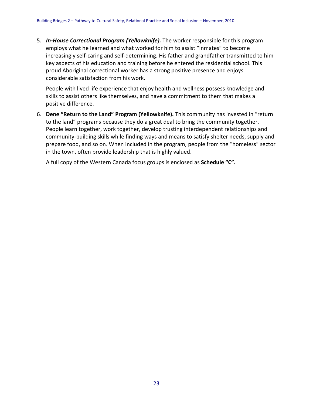5. *In-House Correctional Program (Yellowknife).* The worker responsible for this program employs what he learned and what worked for him to assist "inmates" to become increasingly self-caring and self-determining. His father and grandfather transmitted to him key aspects of his education and training before he entered the residential school. This proud Aboriginal correctional worker has a strong positive presence and enjoys considerable satisfaction from his work.

People with lived life experience that enjoy health and wellness possess knowledge and skills to assist others like themselves, and have a commitment to them that makes a positive difference.

6. **Dene "Return to the Land" Program (Yellowknife).** This community has invested in "return to the land" programs because they do a great deal to bring the community together. People learn together, work together, develop trusting interdependent relationships and community-building skills while finding ways and means to satisfy shelter needs, supply and prepare food, and so on. When included in the program, people from the "homeless" sector in the town, often provide leadership that is highly valued.

A full copy of the Western Canada focus groups is enclosed as **Schedule "C".**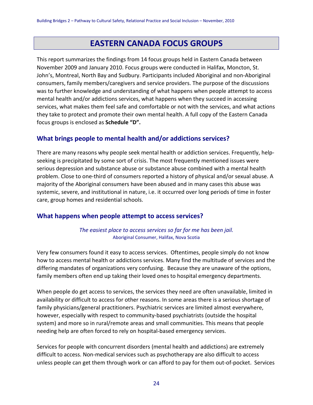# **EASTERN CANADA FOCUS GROUPS**

This report summarizes the findings from 14 focus groups held in Eastern Canada between November 2009 and January 2010. Focus groups were conducted in Halifax, Moncton, St. John's, Montreal, North Bay and Sudbury. Participants included Aboriginal and non-Aboriginal consumers, family members/caregivers and service providers. The purpose of the discussions was to further knowledge and understanding of what happens when people attempt to access mental health and/or addictions services, what happens when they succeed in accessing services, what makes them feel safe and comfortable or not with the services, and what actions they take to protect and promote their own mental health. A full copy of the Eastern Canada focus groups is enclosed as **Schedule "D".**

### **What brings people to mental health and/or addictions services?**

There are many reasons why people seek mental health or addiction services. Frequently, helpseeking is precipitated by some sort of crisis. The most frequently mentioned issues were serious depression and substance abuse or substance abuse combined with a mental health problem. Close to one-third of consumers reported a history of physical and/or sexual abuse. A majority of the Aboriginal consumers have been abused and in many cases this abuse was systemic, severe, and institutional in nature, i.e. it occurred over long periods of time in foster care, group homes and residential schools.

### **What happens when people attempt to access services?**

*The easiest place to access services so far for me has been jail.* Aboriginal Consumer, Halifax, Nova Scotia

Very few consumers found it easy to access services. Oftentimes, people simply do not know how to access mental health or addictions services. Many find the multitude of services and the differing mandates of organizations very confusing. Because they are unaware of the options, family members often end up taking their loved ones to hospital emergency departments.

When people do get access to services, the services they need are often unavailable, limited in availability or difficult to access for other reasons. In some areas there is a serious shortage of family physicians/general practitioners. Psychiatric services are limited almost everywhere, however, especially with respect to community-based psychiatrists (outside the hospital system) and more so in rural/remote areas and small communities. This means that people needing help are often forced to rely on hospital-based emergency services.

Services for people with concurrent disorders (mental health and addictions) are extremely difficult to access. Non-medical services such as psychotherapy are also difficult to access unless people can get them through work or can afford to pay for them out-of-pocket. Services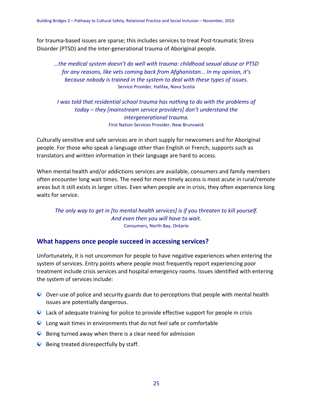for trauma-based issues are sparse; this includes services to treat Post-traumatic Stress Disorder (PTSD) and the inter-generational trauma of Aboriginal people.

*…the medical system doesn't do well with trauma: childhood sexual abuse or PTSD for any reasons, like vets coming back from Afghanistan... In my opinion, it's because nobody is trained in the system to deal with these types of issues.* Service Provider, Halifax, Nova Scotia

*I was told that residential school trauma has nothing to do with the problems of today – they [mainstream service providers] don't understand the intergenerational trauma.* First Nation Services Provider, New Brunswick

Culturally sensitive and safe services are in short supply for newcomers and for Aboriginal people. For those who speak a language other than English or French, supports such as translators and written information in their language are hard to access.

When mental health and/or addictions services are available, consumers and family members often encounter long wait times. The need for more timely access is most acute in rural/remote areas but it still exists in larger cities. Even when people are in crisis, they often experience long waits for service.

*The only way to get in [to mental health services] is if you threaten to kill yourself. And even then you will have to wait.* Consumers, North Bay, Ontario

### **What happens once people succeed in accessing services?**

Unfortunately, it is not uncommon for people to have negative experiences when entering the system of services. Entry points where people most frequently report experiencing poor treatment include crisis services and hospital emergency rooms. Issues identified with entering the system of services include:

- O Over-use of police and security guards due to perceptions that people with mental health issues are potentially dangerous.
- Lack of adequate training for police to provide effective support for people in crisis
- Long wait times in environments that do not feel safe or comfortable
- $\bullet$  Being turned away when there is a clear need for admission
- $\bullet$  Being treated disrespectfully by staff.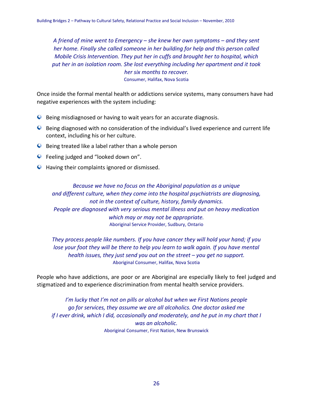*A friend of mine went to Emergency – she knew her own symptoms – and they sent her home. Finally she called someone in her building for help and this person called Mobile Crisis Intervention. They put her in cuffs and brought her to hospital, which put her in an isolation room. She lost everything including her apartment and it took her six months to recover.* Consumer, Halifax, Nova Scotia

Once inside the formal mental health or addictions service systems, many consumers have had negative experiences with the system including:

- Being misdiagnosed or having to wait years for an accurate diagnosis.
- Being diagnosed with no consideration of the individual's lived experience and current life context, including his or her culture.
- $\bullet$  Being treated like a label rather than a whole person
- **C** Feeling judged and "looked down on".
- **Q** Having their complaints ignored or dismissed.

*Because we have no focus on the Aboriginal population as a unique and different culture, when they come into the hospital psychiatrists are diagnosing, not in the context of culture, history, family dynamics. People are diagnosed with very serious mental illness and put on heavy medication which may or may not be appropriate.* Aboriginal Service Provider, Sudbury, Ontario

*They process people like numbers. If you have cancer they will hold your hand; if you lose your foot they will be there to help you learn to walk again. If you have mental health issues, they just send you out on the street – you get no support.* Aboriginal Consumer, Halifax, Nova Scotia

People who have addictions, are poor or are Aboriginal are especially likely to feel judged and stigmatized and to experience discrimination from mental health service providers.

*I'm lucky that I'm not on pills or alcohol but when we First Nations people go for services, they assume we are all alcoholics. One doctor asked me if I ever drink, which I did, occasionally and moderately, and he put in my chart that I was an alcoholic.* Aboriginal Consumer, First Nation, New Brunswick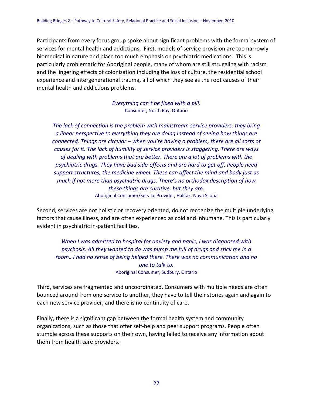Participants from every focus group spoke about significant problems with the formal system of services for mental health and addictions. First, models of service provision are too narrowly biomedical in nature and place too much emphasis on psychiatric medications. This is particularly problematic for Aboriginal people, many of whom are still struggling with racism and the lingering effects of colonization including the loss of culture, the residential school experience and intergenerational trauma, all of which they see as the root causes of their mental health and addictions problems.

> *Everything can't be fixed with a pill.* Consumer, North Bay, Ontario

*The lack of connection is the problem with mainstream service providers: they bring a linear perspective to everything they are doing instead of seeing how things are connected. Things are circular – when you're having a problem, there are all sorts of causes for it. The lack of humility of service providers is staggering. There are ways of dealing with problems that are better. There are a lot of problems with the psychiatric drugs. They have bad side-effects and are hard to get off. People need support structures, the medicine wheel. These can affect the mind and body just as much if not more than psychiatric drugs. There's no orthodox description of how these things are curative, but they are.* Aboriginal Consumer/Service Provider, Halifax, Nova Scotia

Second, services are not holistic or recovery oriented, do not recognize the multiple underlying factors that cause illness, and are often experienced as cold and inhumane. This is particularly evident in psychiatric in-patient facilities.

*When I was admitted to hospital for anxiety and panic, I was diagnosed with psychosis. All they wanted to do was pump me full of drugs and stick me in a room…I had no sense of being helped there. There was no communication and no one to talk to.* Aboriginal Consumer, Sudbury, Ontario

Third, services are fragmented and uncoordinated. Consumers with multiple needs are often bounced around from one service to another, they have to tell their stories again and again to each new service provider, and there is no continuity of care.

Finally, there is a significant gap between the formal health system and community organizations, such as those that offer self-help and peer support programs. People often stumble across these supports on their own, having failed to receive any information about them from health care providers.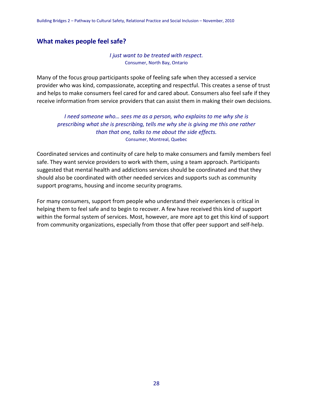### **What makes people feel safe?**

#### *I just want to be treated with respect.* Consumer, North Bay, Ontario

Many of the focus group participants spoke of feeling safe when they accessed a service provider who was kind, compassionate, accepting and respectful. This creates a sense of trust and helps to make consumers feel cared for and cared about. Consumers also feel safe if they receive information from service providers that can assist them in making their own decisions.

*I need someone who… sees me as a person, who explains to me why she is prescribing what she is prescribing, tells me why she is giving me this one rather than that one, talks to me about the side effects.* Consumer, Montreal, Quebec

Coordinated services and continuity of care help to make consumers and family members feel safe. They want service providers to work with them, using a team approach. Participants suggested that mental health and addictions services should be coordinated and that they should also be coordinated with other needed services and supports such as community support programs, housing and income security programs.

For many consumers, support from people who understand their experiences is critical in helping them to feel safe and to begin to recover. A few have received this kind of support within the formal system of services. Most, however, are more apt to get this kind of support from community organizations, especially from those that offer peer support and self-help.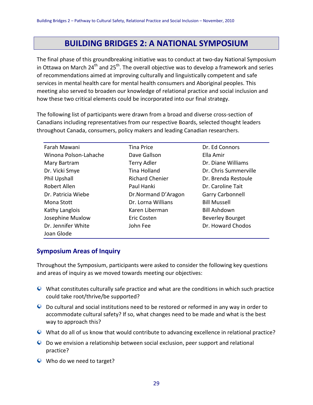# **BUILDING BRIDGES 2: A NATIONAL SYMPOSIUM**

The final phase of this groundbreaking initiative was to conduct at two-day National Symposium in Ottawa on March 24<sup>th</sup> and 25<sup>th</sup>. The overall objective was to develop a framework and series of recommendations aimed at improving culturally and linguistically competent and safe services in mental health care for mental health consumers and Aboriginal peoples. This meeting also served to broaden our knowledge of relational practice and social inclusion and how these two critical elements could be incorporated into our final strategy.

The following list of participants were drawn from a broad and diverse cross-section of Canadians including representatives from our respective Boards, selected thought leaders throughout Canada, consumers, policy makers and leading Canadian researchers.

| Farah Mawani          | <b>Tina Price</b>      | Dr. Ed Connors          |
|-----------------------|------------------------|-------------------------|
| Winona Polson-Lahache | Dave Gallson           | Ella Amir               |
| Mary Bartram          | <b>Terry Adler</b>     | Dr. Diane Williams      |
| Dr. Vicki Smye        | Tina Holland           | Dr. Chris Summerville   |
| Phil Upshall          | <b>Richard Chenier</b> | Dr. Brenda Restoule     |
| Robert Allen          | Paul Hanki             | Dr. Caroline Tait       |
| Dr. Patricia Wiebe    | Dr.Normand D'Aragon    | <b>Garry Carbonnell</b> |
| Mona Stott            | Dr. Lorna Willians     | <b>Bill Mussell</b>     |
| Kathy Langlois        | Karen Liberman         | <b>Bill Ashdown</b>     |
| Josephine Muxlow      | Eric Costen            | <b>Beverley Bourget</b> |
| Dr. Jennifer White    | John Fee               | Dr. Howard Chodos       |
| Joan Glode            |                        |                         |

### **Symposium Areas of Inquiry**

Throughout the Symposium, participants were asked to consider the following key questions and areas of inquiry as we moved towards meeting our objectives:

- What constitutes culturally safe practice and what are the conditions in which such practice could take root/thrive/be supported?
- Do cultural and social institutions need to be restored or reformed in any way in order to accommodate cultural safety? If so, what changes need to be made and what is the best way to approach this?
- What do all of us know that would contribute to advancing excellence in relational practice?
- Do we envision a relationship between social exclusion, peer support and relational practice?
- Who do we need to target?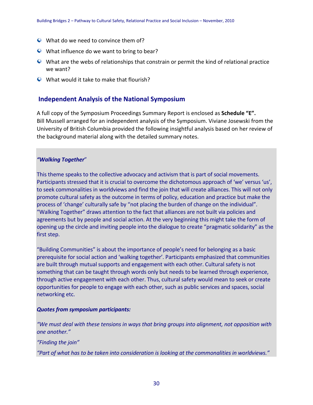- What do we need to convince them of?
- What influence do we want to bring to bear?
- What are the webs of relationships that constrain or permit the kind of relational practice we want?
- What would it take to make that flourish?

### **Independent Analysis of the National Symposium**

A full copy of the Symposium Proceedings Summary Report is enclosed as **Schedule "E".** Bill Mussell arranged for an independent analysis of the Symposium. Viviane Josewski from the University of British Columbia provided the following insightful analysis based on her review of the background material along with the detailed summary notes.

#### *"Walking Together*"

This theme speaks to the collective advocacy and activism that is part of social movements. Participants stressed that it is crucial to overcome the dichotomous approach of 'we' versus 'us', to seek commonalities in worldviews and find the join that will create alliances. This will not only promote cultural safety as the outcome in terms of policy, education and practice but make the process of 'change' culturally safe by "not placing the burden of change on the individual". "Walking Together" draws attention to the fact that alliances are not built via policies and agreements but by people and social action. At the very beginning this might take the form of opening up the circle and inviting people into the dialogue to create "pragmatic solidarity" as the first step.

"Building Communities" is about the importance of people's need for belonging as a basic prerequisite for social action and 'walking together'. Participants emphasized that communities are built through mutual supports and engagement with each other. Cultural safety is not something that can be taught through words only but needs to be learned through experience, through active engagement with each other. Thus, cultural safety would mean to seek or create opportunities for people to engage with each other, such as public services and spaces, social networking etc.

#### *Quotes from symposium participants:*

```
"We must deal with these tensions in ways that bring groups into alignment, not opposition with 
one another."
```
*"Finding the join"*

*"Part of what has to be taken into consideration is looking at the commonalities in worldviews."*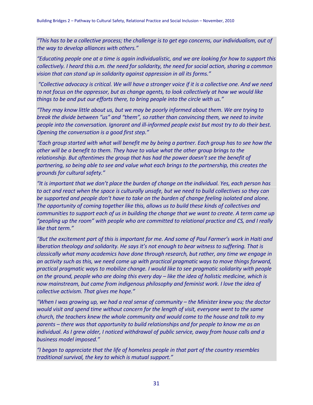*"This has to be a collective process; the challenge is to get ego concerns, our individualism, out of the way to develop alliances with others."*

*"Educating people one at a time is again individualistic, and we are looking for how to support this collectively. I heard this a.m. the need for solidarity, the need for social action, sharing a common vision that can stand up in solidarity against oppression in all its forms."*

*"Collective advocacy is critical. We will have a stronger voice if it is a collective one. And we need to not focus on the oppressor, but as change agents, to look collectively at how we would like things to be and put our efforts there, to bring people into the circle with us."*

*"They may know little about us, but we may be poorly informed about them. We are trying to break the divide between "us" and "them", so rather than convincing them, we need to invite people into the conversation. Ignorant and ill-informed people exist but most try to do their best. Opening the conversation is a good first step."*

*"Each group started with what will benefit me by being a partner. Each group has to see how the other will be a benefit to them. They have to value what the other group brings to the relationship. But oftentimes the group that has had the power doesn't see the benefit of partnering, so being able to see and value what each brings to the partnership, this creates the grounds for cultural safety."* 

*"It is important that we don't place the burden of change on the individual. Yes, each person has to act and react when the space is culturally unsafe, but we need to build collectives so they can be supported and people don't have to take on the burden of change feeling isolated and alone. The opportunity of coming together like this, allows us to build these kinds of collectives and communities to support each of us in building the change that we want to create. A term came up "peopling up the room" with people who are committed to relational practice and CS, and I really like that term."*

*"But the excitement part of this is important for me. And some of Paul Farmer's work in Haiti and liberation theology and solidarity. He says it's not enough to bear witness to suffering. That is classically what many academics have done through research, but rather, any time we engage in an activity such as this, we need come up with practical pragmatic ways to move things forward, practical pragmatic ways to mobilize change. I would like to see pragmatic solidarity with people on the ground, people who are doing this every day – like the idea of holistic medicine, which is now mainstream, but came from indigenous philosophy and feminist work. I love the idea of collective activism. That gives me hope."*

*"When I was growing up, we had a real sense of community – the Minister knew you; the doctor would visit and spend time without concern for the length of visit, everyone went to the same church, the teachers knew the whole community and would come to the house and talk to my parents – there was that opportunity to build relationships and for people to know me as an individual. As I grew older, I noticed withdrawal of public service, away from house calls and a business model imposed."*

*"I began to appreciate that the life of homeless people in that part of the country resembles traditional survival, the key to which is mutual support."*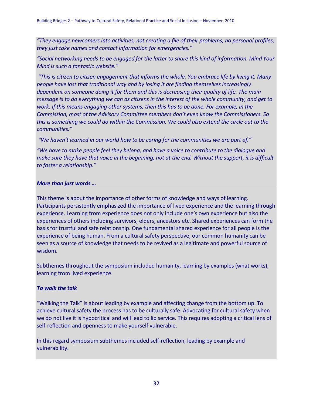*"They engage newcomers into activities, not creating a file of their problems, no personal profiles; they just take names and contact information for emergencies."*

*"Social networking needs to be engaged for the latter to share this kind of information. Mind Your Mind is such a fantastic website."*

*"This is citizen to citizen engagement that informs the whole. You embrace life by living it. Many people have lost that traditional way and by losing it are finding themselves increasingly dependent on someone doing it for them and this is decreasing their quality of life. The main message is to do everything we can as citizens in the interest of the whole community, and get to work. If this means engaging other systems, then this has to be done. For example, in the Commission, most of the Advisory Committee members don't even know the Commissioners. So this is something we could do within the Commission. We could also extend the circle out to the communities."*

*"We haven't learned in our world how to be caring for the communities we are part of."*

*"We have to make people feel they belong, and have a voice to contribute to the dialogue and make sure they have that voice in the beginning, not at the end. Without the support, it is difficult to foster a relationship."*

#### *More than just words …*

This theme is about the importance of other forms of knowledge and ways of learning. Participants persistently emphasized the importance of lived experience and the learning through experience. Learning from experience does not only include one's own experience but also the experiences of others including survivors, elders, ancestors etc. Shared experiences can form the basis for trustful and safe relationship. One fundamental shared experience for all people is the experience of being human. From a cultural safety perspective, our common humanity can be seen as a source of knowledge that needs to be revived as a legitimate and powerful source of wisdom.

Subthemes throughout the symposium included humanity, learning by examples (what works), learning from lived experience.

#### *To walk the talk*

"Walking the Talk" is about leading by example and affecting change from the bottom up. To achieve cultural safety the process has to be culturally safe. Advocating for cultural safety when we do not live it is hypocritical and will lead to lip service. This requires adopting a critical lens of self-reflection and openness to make yourself vulnerable.

In this regard symposium subthemes included self-reflection, leading by example and vulnerability.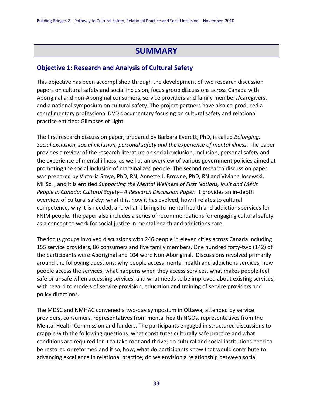# **SUMMARY**

### **Objective 1: Research and Analysis of Cultural Safety**

This objective has been accomplished through the development of two research discussion papers on cultural safety and social inclusion, focus group discussions across Canada with Aboriginal and non-Aboriginal consumers, service providers and family members/caregivers, and a national symposium on cultural safety. The project partners have also co-produced a complimentary professional DVD documentary focusing on cultural safety and relational practice entitled: Glimpses of Light.

The first research discussion paper, prepared by Barbara Everett, PhD, is called *Belonging: Social exclusion, social inclusion, personal safety and the experience of mental illness.* The paper provides a review of the research literature on social exclusion, inclusion, personal safety and the experience of mental illness, as well as an overview of various government policies aimed at promoting the social inclusion of marginalized people. The second research discussion paper was prepared by Victoria Smye, PhD, RN, Annette J. Browne, PhD, RN and Viviane Josewski, MHSc. , and it is entitled *Supporting the Mental Wellness of First Nations, Inuit and Métis People in Canada: Cultural Safety– A Research Discussion Paper.* It provides an in-depth overview of cultural safety: what it is, how it has evolved, how it relates to cultural competence, why it is needed, and what it brings to mental health and addictions services for FNIM people. The paper also includes a series of recommendations for engaging cultural safety as a concept to work for social justice in mental health and addictions care.

The focus groups involved discussions with 246 people in eleven cities across Canada including 155 service providers, 86 consumers and five family members. One hundred forty-two (142) of the participants were Aboriginal and 104 were Non-Aboriginal. Discussions revolved primarily around the following questions: why people access mental health and addictions services, how people access the services, what happens when they access services, what makes people feel safe or unsafe when accessing services, and what needs to be improved about existing services, with regard to models of service provision, education and training of service providers and policy directions.

The MDSC and NMHAC convened a two-day symposium in Ottawa, attended by service providers, consumers, representatives from mental health NGOs, representatives from the Mental Health Commission and funders. The participants engaged in structured discussions to grapple with the following questions: what constitutes culturally safe practice and what conditions are required for it to take root and thrive; do cultural and social institutions need to be restored or reformed and if so, how; what do participants know that would contribute to advancing excellence in relational practice; do we envision a relationship between social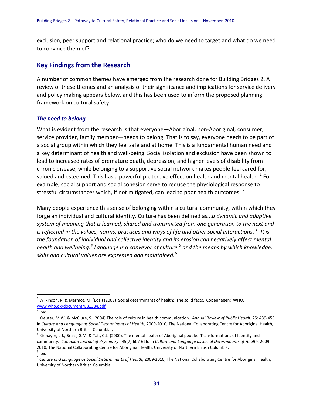exclusion, peer support and relational practice; who do we need to target and what do we need to convince them of?

### **Key Findings from the Research**

A number of common themes have emerged from the research done for Building Bridges 2. A review of these themes and an analysis of their significance and implications for service delivery and policy making appears below, and this has been used to inform the proposed planning framework on cultural safety.

### *The need to belong*

What is evident from the research is that everyone—Aboriginal, non-Aboriginal, consumer, service provider, family member—needs to belong. That is to say, everyone needs to be part of a social group within which they feel safe and at home. This is a fundamental human need and a key determinant of health and well-being. Social isolation and exclusion have been shown to lead to increased rates of premature death, depression, and higher levels of disability from chronic disease, while belonging to a supportive social network makes people feel cared for, valued and esteemed. This has a powerful protective effect on health and mental health.  $^1$  $^1$  For example, social support and social cohesion serve to reduce the physiological response to stressful circumstances which, if not mitigated, can lead to poor health outcomes.  $2$ 

Many people experience this sense of belonging within a cultural community, within which they forge an individual and cultural identity. Culture has been defined as...*a dynamic and adaptive system of meaning that is learned, shared and transmitted from one generation to the next and is reflected in the values, norms, practices and ways of life and other social interactions.* <sup>[3](#page-35-2)</sup> It is *the foundation of individual and collective identity and its erosion can negatively affect mental health and wellbeing.[4](#page-35-3) Language is a conveyor of culture [5](#page-35-4) and the means by which knowledge, skills and cultural values are expressed and maintained.[6](#page-35-5)*

<span id="page-35-0"></span> $1$  Wilkinson, R. & Marmot, M. (Eds.) (2003) Social determinants of health: The solid facts. Copenhagen: WHO. [www.who.dk/document/E81384.pdf](http://www.who.dk/document/E81384.pdf)

<span id="page-35-1"></span> $2$  Ibid

<span id="page-35-2"></span><sup>3</sup> Kreuter, M.W. & McClure, S. (2004) The role of culture in health communication. *Annual Review of Public Health.* 25: 439-455. In *Culture and Language as Social Determinants of Health*, 2009-2010, The National Collaborating Centre for Aboriginal Health, University of Northern British Columbia.,

<span id="page-35-3"></span><sup>&</sup>lt;sup>4</sup> Kirmayer, L.J., Brass, G.M. & Tait, C.L. (2000). The mental health of Aboriginal people: Transformations of Identity and community. *Canadian Journal of Psychiatry*. 45(7):607-616. In *Culture and Language as Social Determinants of Health*, 2009- 2010, The National Collaborating Centre for Aboriginal Health, University of Northern British Columbia.  $<sup>5</sup>$  Ibid</sup>

<span id="page-35-5"></span><span id="page-35-4"></span><sup>6</sup> *Culture and Language as Social Determinants of Health*, 2009-2010, The National Collaborating Centre for Aboriginal Health, University of Northern British Columbia.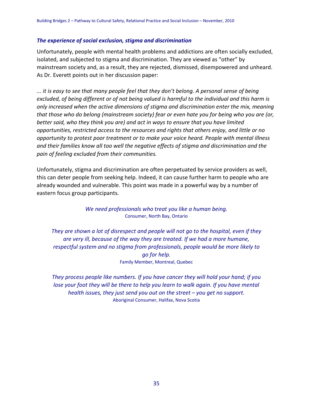#### *The experience of social exclusion, stigma and discrimination*

Unfortunately, people with mental health problems and addictions are often socially excluded, isolated, and subjected to stigma and discrimination. They are viewed as "other" by mainstream society and, as a result, they are rejected, dismissed, disempowered and unheard. As Dr. Everett points out in her discussion paper:

*... it is easy to see that many people feel that they don't belong. A personal sense of being excluded, of being different or of not being valued is harmful to the individual and this harm is only increased when the active dimensions of stigma and discrimination enter the mix, meaning that those who do belong (mainstream society) fear or even hate you for being who you are (or, better said, who they think you are) and act in ways to ensure that you have limited opportunities, restricted access to the resources and rights that others enjoy, and little or no opportunity to protest poor treatment or to make your voice heard. People with mental illness and their families know all too well the negative effects of stigma and discrimination and the pain of feeling excluded from their communities.*

Unfortunately, stigma and discrimination are often perpetuated by service providers as well, this can deter people from seeking help. Indeed, it can cause further harm to people who are already wounded and vulnerable. This point was made in a powerful way by a number of eastern focus group participants.

> *We need professionals who treat you like a human being.* Consumer, North Bay, Ontario

*They are shown a lot of disrespect and people will not go to the hospital, even if they are very ill, because of the way they are treated. If we had a more humane, respectful system and no stigma from professionals, people would be more likely to go for help.* Family Member, Montreal, Quebec

*They process people like numbers. If you have cancer they will hold your hand; if you lose your foot they will be there to help you learn to walk again. If you have mental health issues, they just send you out on the street – you get no support.* Aboriginal Consumer, Halifax, Nova Scotia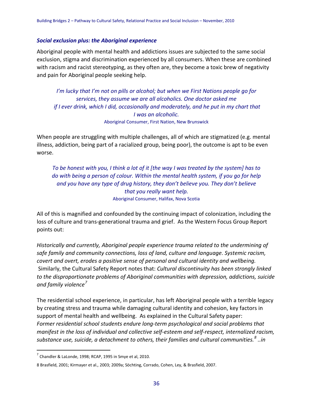#### *Social exclusion plus: the Aboriginal experience*

Aboriginal people with mental health and addictions issues are subjected to the same social exclusion, stigma and discrimination experienced by all consumers. When these are combined with racism and racist stereotyping, as they often are, they become a toxic brew of negativity and pain for Aboriginal people seeking help.

*I'm lucky that I'm not on pills or alcohol; but when we First Nations people go for services, they assume we are all alcoholics. One doctor asked me if I ever drink, which I did, occasionally and moderately, and he put in my chart that I was an alcoholic.* Aboriginal Consumer, First Nation, New Brunswick

When people are struggling with multiple challenges, all of which are stigmatized (e.g. mental illness, addiction, being part of a racialized group, being poor), the outcome is apt to be even worse.

*To be honest with you, I think a lot of it [the way I was treated by the system] has to do with being a person of colour. Within the mental health system, if you go for help and you have any type of drug history, they don't believe you. They don't believe that you really want help.* Aboriginal Consumer, Halifax, Nova Scotia

All of this is magnified and confounded by the continuing impact of colonization, including the loss of culture and trans-generational trauma and grief. As the Western Focus Group Report points out:

*Historically and currently, Aboriginal people experience trauma related to the undermining of safe family and community connections, loss of land, culture and language. Systemic racism, covert and overt, erodes a positive sense of personal and cultural identity and wellbeing.* Similarly, the Cultural Safety Report notes that: *Cultural discontinuity has been strongly linked to the disproportionate problems of Aboriginal communities with depression, addictions, suicide and family violence[7](#page-37-0)*

The residential school experience, in particular, has left Aboriginal people with a terrible legacy by creating stress and trauma while damaging cultural identity and cohesion, key factors in support of mental health and wellbeing. As explained in the Cultural Safety paper: *Former residential school students endure long-term psychological and social problems that manifest in the loss of individual and collective self-esteem and self-respect, internalized racism, substance use, suicide, a detachment to others, their families and cultural communities.[8](#page-37-1) ..in* 

<span id="page-37-0"></span> $<sup>7</sup>$  Chandler & LaLonde, 1998; RCAP, 1995 in Smye et al, 2010.</sup>

<span id="page-37-1"></span><sup>8</sup> Brasfield, 2001; Kirmayer et al., 2003; 2009a; Söchting, Corrado, Cohen, Ley, & Brasfield, 2007.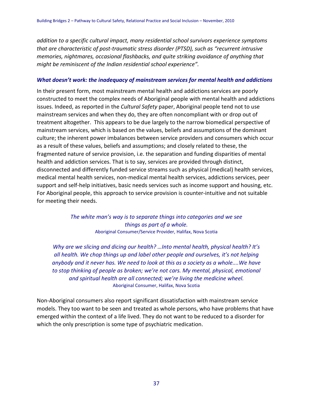*addition to a specific cultural impact, many residential school survivors experience symptoms that are characteristic of post-traumatic stress disorder (PTSD), such as "recurrent intrusive memories, nightmares, occasional flashbacks, and quite striking avoidance of anything that might be reminiscent of the Indian residential school experience".*

#### *What doesn't work: the inadequacy of mainstream services for mental health and addictions*

In their present form, most mainstream mental health and addictions services are poorly constructed to meet the complex needs of Aboriginal people with mental health and addictions issues. Indeed, as reported in the *Cultural Safety* paper, Aboriginal people tend not to use mainstream services and when they do, they are often noncompliant with or drop out of treatment altogether. This appears to be due largely to the narrow biomedical perspective of mainstream services, which is based on the values, beliefs and assumptions of the dominant culture; the inherent power imbalances between service providers and consumers which occur as a result of these values, beliefs and assumptions; and closely related to these, the fragmented nature of service provision, i.e. the separation and funding disparities of mental health and addiction services. That is to say, services are provided through distinct, disconnected and differently funded service streams such as physical (medical) health services, medical mental health services, non-medical mental health services, addictions services, peer support and self-help initiatives, basic needs services such as income support and housing, etc. For Aboriginal people, this approach to service provision is counter-intuitive and not suitable for meeting their needs.

> *The white man's way is to separate things into categories and we see things as part of a whole.* Aboriginal Consumer/Service Provider, Halifax, Nova Scotia

*Why are we slicing and dicing our health? …Into mental health, physical health? It's all health. We chop things up and label other people and ourselves, it's not helping anybody and it never has. We need to look at this as a society as a whole....We have to stop thinking of people as broken; we're not cars. My mental, physical, emotional and spiritual health are all connected; we're living the medicine wheel.* Aboriginal Consumer, Halifax, Nova Scotia

Non-Aboriginal consumers also report significant dissatisfaction with mainstream service models. They too want to be seen and treated as whole persons, who have problems that have emerged within the context of a life lived. They do not want to be reduced to a disorder for which the only prescription is some type of psychiatric medication.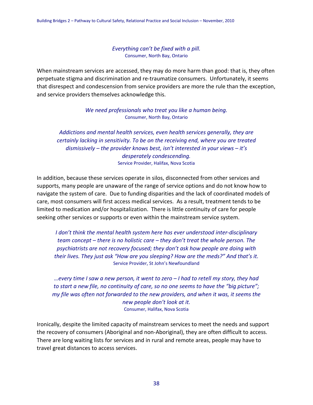*Everything can't be fixed with a pill.* Consumer, North Bay, Ontario

When mainstream services are accessed, they may do more harm than good: that is, they often perpetuate stigma and discrimination and re-traumatize consumers. Unfortunately, it seems that disrespect and condescension from service providers are more the rule than the exception, and service providers themselves acknowledge this.

> *We need professionals who treat you like a human being.* Consumer, North Bay, Ontario

*Addictions and mental health services, even health services generally, they are certainly lacking in sensitivity. To be on the receiving end, where you are treated dismissively – the provider knows best, isn't interested in your views – it's desperately condescending.* Service Provider, Halifax, Nova Scotia

In addition, because these services operate in silos, disconnected from other services and supports, many people are unaware of the range of service options and do not know how to navigate the system of care. Due to funding disparities and the lack of coordinated models of care, most consumers will first access medical services. As a result, treatment tends to be limited to medication and/or hospitalization. There is little continuity of care for people seeking other services or supports or even within the mainstream service system.

*I don't think the mental health system here has ever understood inter-disciplinary team concept – there is no holistic care – they don't treat the whole person. The psychiatrists are not recovery focused; they don't ask how people are doing with their lives. They just ask "How are you sleeping? How are the meds?" And that's it.* Service Provider, St John's Newfoundland

*…every time I saw a new person, it went to zero – I had to retell my story, they had to start a new file, no continuity of care, so no one seems to have the "big picture"; my file was often not forwarded to the new providers, and when it was, it seems the new people don't look at it.* Consumer, Halifax, Nova Scotia

Ironically, despite the limited capacity of mainstream services to meet the needs and support the recovery of consumers (Aboriginal and non-Aboriginal), they are often difficult to access. There are long waiting lists for services and in rural and remote areas, people may have to travel great distances to access services.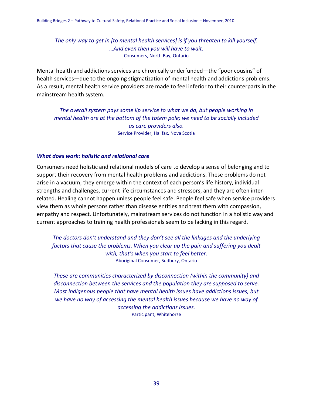*The only way to get in [to mental health services] is if you threaten to kill yourself. …And even then you will have to wait.* Consumers, North Bay, Ontario

Mental health and addictions services are chronically underfunded—the "poor cousins" of health services—due to the ongoing stigmatization of mental health and addictions problems. As a result, mental health service providers are made to feel inferior to their counterparts in the mainstream health system.

*The overall system pays some lip service to what we do, but people working in mental health are at the bottom of the totem pole; we need to be socially included as care providers also.* Service Provider, Halifax, Nova Scotia

#### *What does work: holistic and relational care*

Consumers need holistic and relational models of care to develop a sense of belonging and to support their recovery from mental health problems and addictions. These problems do not arise in a vacuum; they emerge within the context of each person's life history, individual strengths and challenges, current life circumstances and stressors, and they are often interrelated. Healing cannot happen unless people feel safe. People feel safe when service providers view them as whole persons rather than disease entities and treat them with compassion, empathy and respect. Unfortunately, mainstream services do not function in a holistic way and current approaches to training health professionals seem to be lacking in this regard.

*The doctors don't understand and they don't see all the linkages and the underlying factors that cause the problems. When you clear up the pain and suffering you dealt with, that's when you start to feel better.* Aboriginal Consumer, Sudbury, Ontario

*These are communities characterized by disconnection (within the community) and disconnection between the services and the population they are supposed to serve. Most indigenous people that have mental health issues have addictions issues, but we have no way of accessing the mental health issues because we have no way of accessing the addictions issues.* Participant, Whitehorse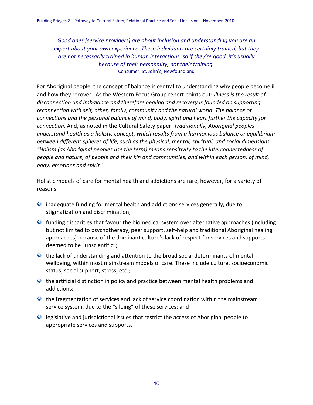*Good ones [service providers] are about inclusion and understanding you are an expert about your own experience. These individuals are certainly trained, but they are not necessarily trained in human interactions, so if they're good, it's usually because of their personality, not their training.* Consumer, St. John's, Newfoundland

For Aboriginal people, the concept of balance is central to understanding why people become ill and how they recover. As the Western Focus Group report points out: *Illness is the result of disconnection and imbalance and therefore healing and recovery is founded on supporting reconnection with self, other, family, community and the natural world. The balance of connections and the personal balance of mind, body, spirit and heart further the capacity for connection.* And, as noted in the Cultural Safety paper: *Traditionally, Aboriginal peoples understand health as a holistic concept, which results from a harmonious balance or equilibrium between different spheres of life, such as the physical, mental, spiritual, and social dimensions "Holism (as Aboriginal peoples use the term) means sensitivity to the interconnectedness of people and nature, of people and their kin and communities, and within each person, of mind, body, emotions and spirit".*

Holistic models of care for mental health and addictions are rare, however, for a variety of reasons:

- inadequate funding for mental health and addictions services generally, due to stigmatization and discrimination;
- $\bullet$  funding disparities that favour the biomedical system over alternative approaches (including but not limited to psychotherapy, peer support, self-help and traditional Aboriginal healing approaches) because of the dominant culture's lack of respect for services and supports deemed to be "unscientific";
- $\bullet$  the lack of understanding and attention to the broad social determinants of mental wellbeing, within most mainstream models of care. These include culture, socioeconomic status, social support, stress, etc.;
- $\bullet$  the artificial distinction in policy and practice between mental health problems and addictions;
- the fragmentation of services and lack of service coordination within the mainstream service system, due to the "siloing" of these services; and
- legislative and jurisdictional issues that restrict the access of Aboriginal people to appropriate services and supports.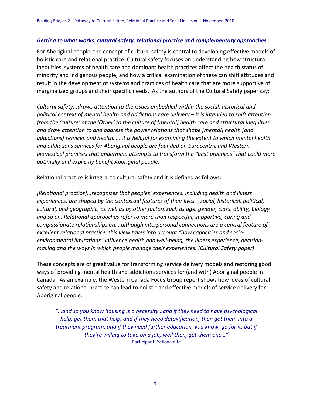#### *Getting to what works: cultural safety, relational practice and complementary approaches*

For Aboriginal people, the concept of cultural safety is central to developing effective models of holistic care and relational practice. Cultural safety focuses on understanding how structural inequities, systems of health care and dominant health practices affect the health status of minority and Indigenous people, and how a critical examination of these can shift attitudes and result in the development of systems and practices of health care that are more supportive of marginalized groups and their specific needs. As the authors of the Cultural Safety paper say:

*Cultural safety...draws attention to the issues embedded within the social, historical and political context of mental health and addictions care delivery – it is intended to shift attention from the 'culture' of the 'Other' to the culture of [mental] health care and structural inequities and draw attention to and address the power relations that shape [mental] health [and addictions] services and health. ... it is helpful for examining the extent to which mental health and addictions services for Aboriginal people are founded on Eurocentric and Western biomedical premises that undermine attempts to transform the "best practices" that could more optimally and explicitly benefit Aboriginal people.*

Relational practice is integral to cultural safety and it is defined as follows:

*[Relational practice]...recognizes that peoples' experiences, including health and illness experiences, are shaped by the contextual features of their lives – social, historical, political, cultural, and geographic, as well as by other factors such as age, gender, class, ability, biology and so on. Relational approaches refer to more than respectful, supportive, caring and compassionate relationships etc.; although interpersonal connections are a central feature of excellent relational practice, this view takes into account "how capacities and socioenvironmental limitations" influence health and well-being, the illness experience, decisionmaking and the ways in which people manage their experiences. (Cultural Safety paper)*

These concepts are of great value for transforming service delivery models and restoring good ways of providing mental health and addictions services for (and with) Aboriginal people in Canada. As an example, the Western Canada Focus Group report shows how ideas of cultural safety and relational practice can lead to holistic and effective models of service delivery for Aboriginal people.

*"…and so you know housing is a necessity…and if they need to have psychological help, get them that help, and if they need detoxification, then get them into a treatment program, and if they need further education, you know, go for it, but if they're willing to take on a job, well then, get them one…"* Participant, Yellowknife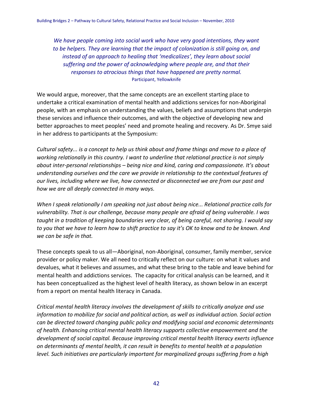*We have people coming into social work who have very good intentions, they want to be helpers. They are learning that the impact of colonization is still going on, and instead of an approach to healing that 'medicalizes', they learn about social suffering and the power of acknowledging where people are, and that their responses to atrocious things that have happened are pretty normal.* Participant, Yellowknife

We would argue, moreover, that the same concepts are an excellent starting place to undertake a critical examination of mental health and addictions services for non-Aboriginal people, with an emphasis on understanding the values, beliefs and assumptions that underpin these services and influence their outcomes, and with the objective of developing new and better approaches to meet peoples' need and promote healing and recovery. As Dr. Smye said in her address to participants at the Symposium:

*Cultural safety... is a concept to help us think about and frame things and move to a place of working relationally in this country. I want to underline that relational practice is not simply about inter-personal relationships – being nice and kind, caring and compassionate. It's about understanding ourselves and the care we provide in relationship to the contextual features of our lives, including where we live, how connected or disconnected we are from our past and how we are all deeply connected in many ways.*

*When I speak relationally I am speaking not just about being nice... Relational practice calls for vulnerability. That is our challenge, because many people are afraid of being vulnerable. I was taught in a tradition of keeping boundaries very clear, of being careful, not sharing. I would say to you that we have to learn how to shift practice to say it's OK to know and to be known. And we can be safe in that.*

These concepts speak to us all—Aboriginal, non-Aboriginal, consumer, family member, service provider or policy maker. We all need to critically reflect on our culture: on what it values and devalues, what it believes and assumes, and what these bring to the table and leave behind for mental health and addictions services. The capacity for critical analysis can be learned, and it has been conceptualized as the highest level of health literacy, as shown below in an excerpt from a report on mental health literacy in Canada.

*Critical mental health literacy involves the development of skills to critically analyze and use information to mobilize for social and political action, as well as individual action. Social action can be directed toward changing public policy and modifying social and economic determinants of health. Enhancing critical mental health literacy supports collective empowerment and the development of social capital. Because improving critical mental health literacy exerts influence on determinants of mental health, it can result in benefits to mental health at a population level. Such initiatives are particularly important for marginalized groups suffering from a high*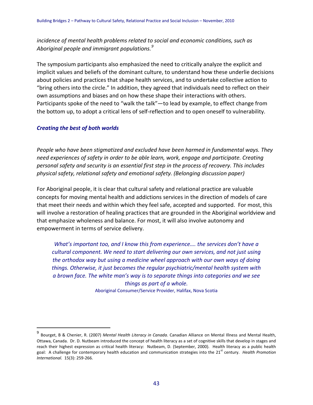*incidence of mental health problems related to social and economic conditions, such as Aboriginal people and immigrant populations.[9](#page-44-0)*

The symposium participants also emphasized the need to critically analyze the explicit and implicit values and beliefs of the dominant culture, to understand how these underlie decisions about policies and practices that shape health services, and to undertake collective action to "bring others into the circle." In addition, they agreed that individuals need to reflect on their own assumptions and biases and on how these shape their interactions with others. Participants spoke of the need to "walk the talk"—to lead by example, to effect change from the bottom up, to adopt a critical lens of self-reflection and to open oneself to vulnerability.

#### *Creating the best of both worlds*

*People who have been stigmatized and excluded have been harmed in fundamental ways. They need experiences of safety in order to be able learn, work, engage and participate. Creating personal safety and security is an essential first step in the process of recovery. This includes physical safety, relational safety and emotional safety. (Belonging discussion paper)*

For Aboriginal people, it is clear that cultural safety and relational practice are valuable concepts for moving mental health and addictions services in the direction of models of care that meet their needs and within which they feel safe, accepted and supported. For most, this will involve a restoration of healing practices that are grounded in the Aboriginal worldview and that emphasize wholeness and balance. For most, it will also involve autonomy and empowerment in terms of service delivery.

*What's important too, and I know this from experience…. the services don't have a cultural component. We need to start delivering our own services, and not just using the orthodox way but using a medicine wheel approach with our own ways of doing things. Otherwise, it just becomes the regular psychiatric/mental health system with a brown face. The white man's way is to separate things into categories and we see things as part of a whole.*

Aboriginal Consumer/Service Provider, Halifax, Nova Scotia

<span id="page-44-0"></span> <sup>9</sup> Bourget, B & Chenier, R. (2007) *Mental Health Literacy in Canada*. Canadian Alliance on Mental Illness and Mental Health, Ottawa, Canada. Dr. D. Nutbeam introduced the concept of health literacy as a set of cognitive skills that develop in stages and reach their highest expression as critical health literacy: Nutbeam, D. (September, 2000). Health literacy as a public health goal: A challenge for contemporary health education and communication strategies into the 21<sup>st</sup> century. *Health Promotion International.* 15(3): 259-266.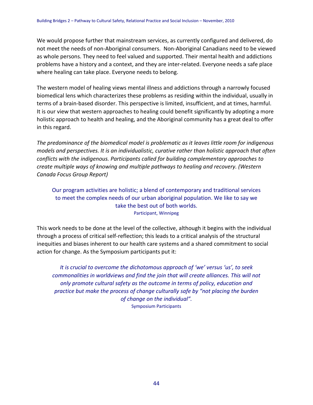We would propose further that mainstream services, as currently configured and delivered, do not meet the needs of non-Aboriginal consumers. Non-Aboriginal Canadians need to be viewed as whole persons. They need to feel valued and supported. Their mental health and addictions problems have a history and a context, and they are inter-related. Everyone needs a safe place where healing can take place. Everyone needs to belong.

The western model of healing views mental illness and addictions through a narrowly focused biomedical lens which characterizes these problems as residing within the individual, usually in terms of a brain-based disorder. This perspective is limited, insufficient, and at times, harmful. It is our view that western approaches to healing could benefit significantly by adopting a more holistic approach to health and healing, and the Aboriginal community has a great deal to offer in this regard.

*The predominance of the biomedical model is problematic as it leaves little room for indigenous models and perspectives. It is an individualistic, curative rather than holistic approach that often conflicts with the indigenous. Participants called for building complementary approaches to create multiple ways of knowing and multiple pathways to healing and recovery. (Western Canada Focus Group Report)*

Our program activities are holistic; a blend of contemporary and traditional services to meet the complex needs of our urban aboriginal population. We like to say we take the best out of both worlds. Participant, Winnipeg

This work needs to be done at the level of the collective, although it begins with the individual through a process of critical self-reflection; this leads to a critical analysis of the structural inequities and biases inherent to our health care systems and a shared commitment to social action for change. As the Symposium participants put it:

*It is crucial to overcome the dichotomous approach of 'we' versus 'us', to seek commonalities in worldviews and find the join that will create alliances. This will not only promote cultural safety as the outcome in terms of policy, education and practice but make the process of change culturally safe by "not placing the burden of change on the individual".* Symposium Participants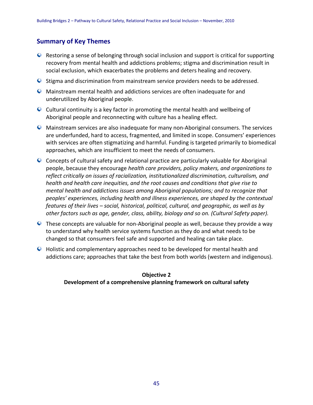### **Summary of Key Themes**

- $\bullet$  Restoring a sense of belonging through social inclusion and support is critical for supporting recovery from mental health and addictions problems; stigma and discrimination result in social exclusion, which exacerbates the problems and deters healing and recovery.
- Stigma and discrimination from mainstream service providers needs to be addressed.
- Mainstream mental health and addictions services are often inadequate for and underutilized by Aboriginal people.
- $\bullet$  Cultural continuity is a key factor in promoting the mental health and wellbeing of Aboriginal people and reconnecting with culture has a healing effect.
- Mainstream services are also inadequate for many non-Aboriginal consumers. The services are underfunded, hard to access, fragmented, and limited in scope. Consumers' experiences with services are often stigmatizing and harmful. Funding is targeted primarily to biomedical approaches, which are insufficient to meet the needs of consumers.
- Concepts of cultural safety and relational practice are particularly valuable for Aboriginal people, because they encourage *health care providers, policy makers, and organizations to reflect critically on issues of racialization, institutionalized discrimination, culturalism, and health and health care inequities, and the root causes and conditions that give rise to mental health and addictions issues among Aboriginal populations; and to recognize that peoples' experiences, including health and illness experiences, are shaped by the contextual features of their lives – social, historical, political, cultural, and geographic, as well as by other factors such as age, gender, class, ability, biology and so on. (Cultural Safety paper).*
- These concepts are valuable for non-Aboriginal people as well, because they provide a way to understand why health service systems function as they do and what needs to be changed so that consumers feel safe and supported and healing can take place.
- Holistic and complementary approaches need to be developed for mental health and addictions care; approaches that take the best from both worlds (western and indigenous).

### **Objective 2 Development of a comprehensive planning framework on cultural safety**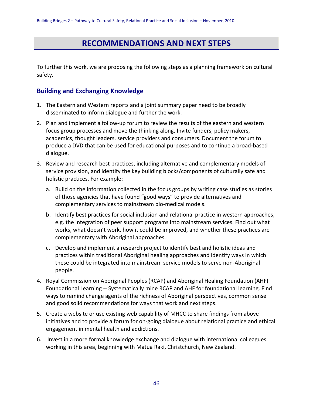# **RECOMMENDATIONS AND NEXT STEPS**

To further this work, we are proposing the following steps as a planning framework on cultural safety.

### **Building and Exchanging Knowledge**

- 1. The Eastern and Western reports and a joint summary paper need to be broadly disseminated to inform dialogue and further the work.
- 2. Plan and implement a follow-up forum to review the results of the eastern and western focus group processes and move the thinking along. Invite funders, policy makers, academics, thought leaders, service providers and consumers. Document the forum to produce a DVD that can be used for educational purposes and to continue a broad-based dialogue.
- 3. Review and research best practices, including alternative and complementary models of service provision, and identify the key building blocks/components of culturally safe and holistic practices. For example:
	- a. Build on the information collected in the focus groups by writing case studies as stories of those agencies that have found "good ways" to provide alternatives and complementary services to mainstream bio-medical models.
	- b. Identify best practices for social inclusion and relational practice in western approaches, e.g. the integration of peer support programs into mainstream services. Find out what works, what doesn't work, how it could be improved, and whether these practices are complementary with Aboriginal approaches.
	- c. Develop and implement a research project to identify best and holistic ideas and practices within traditional Aboriginal healing approaches and identify ways in which these could be integrated into mainstream service models to serve non-Aboriginal people.
- 4. Royal Commission on Aboriginal Peoples (RCAP) and Aboriginal Healing Foundation (AHF) Foundational Learning -- Systematically mine RCAP and AHF for foundational learning. Find ways to remind change agents of the richness of Aboriginal perspectives, common sense and good solid recommendations for ways that work and next steps.
- 5. Create a website or use existing web capability of MHCC to share findings from above initiatives and to provide a forum for on-going dialogue about relational practice and ethical engagement in mental health and addictions.
- 6. Invest in a more formal knowledge exchange and dialogue with international colleagues working in this area, beginning with Matua Raki, Christchurch, New Zealand.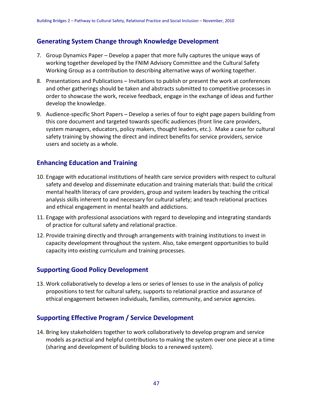### **Generating System Change through Knowledge Development**

- 7. Group Dynamics Paper Develop a paper that more fully captures the unique ways of working together developed by the FNIM Advisory Committee and the Cultural Safety Working Group as a contribution to describing alternative ways of working together.
- 8. Presentations and Publications Invitations to publish or present the work at conferences and other gatherings should be taken and abstracts submitted to competitive processes in order to showcase the work, receive feedback, engage in the exchange of ideas and further develop the knowledge.
- 9. Audience-specific Short Papers Develop a series of four to eight page papers building from this core document and targeted towards specific audiences (front line care providers, system managers, educators, policy makers, thought leaders, etc.). Make a case for cultural safety training by showing the direct and indirect benefits for service providers, service users and society as a whole.

### **Enhancing Education and Training**

- 10. Engage with educational institutions of health care service providers with respect to cultural safety and develop and disseminate education and training materials that: build the critical mental health literacy of care providers, group and system leaders by teaching the critical analysis skills inherent to and necessary for cultural safety; and teach relational practices and ethical engagement in mental health and addictions.
- 11. Engage with professional associations with regard to developing and integrating standards of practice for cultural safety and relational practice.
- 12. Provide training directly and through arrangements with training institutions to invest in capacity development throughout the system. Also, take emergent opportunities to build capacity into existing curriculum and training processes.

### **Supporting Good Policy Development**

13. Work collaboratively to develop a lens or series of lenses to use in the analysis of policy propositions to test for cultural safety, supports to relational practice and assurance of ethical engagement between individuals, families, community, and service agencies.

### **Supporting Effective Program / Service Development**

14. Bring key stakeholders together to work collaboratively to develop program and service models as practical and helpful contributions to making the system over one piece at a time (sharing and development of building blocks to a renewed system).